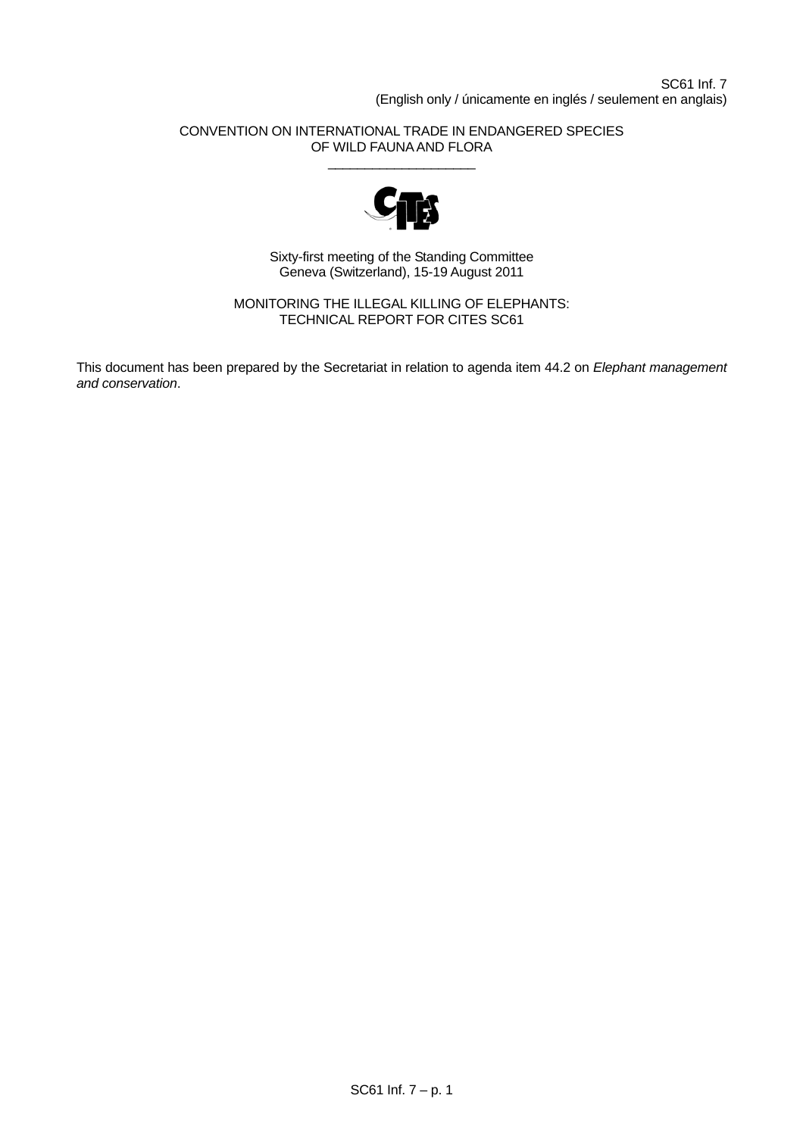# CONVENTION ON INTERNATIONAL TRADE IN ENDANGERED SPECIES OF WILD FAUNA AND FLORA \_\_\_\_\_\_\_\_\_\_\_\_\_\_\_\_\_\_\_\_



Sixty-first meeting of the Standing Committee Geneva (Switzerland), 15-19 August 2011

MONITORING THE ILLEGAL KILLING OF ELEPHANTS: TECHNICAL REPORT FOR CITES SC61

This document has been prepared by the Secretariat in relation to agenda item 44.2 on *Elephant management and conservation*.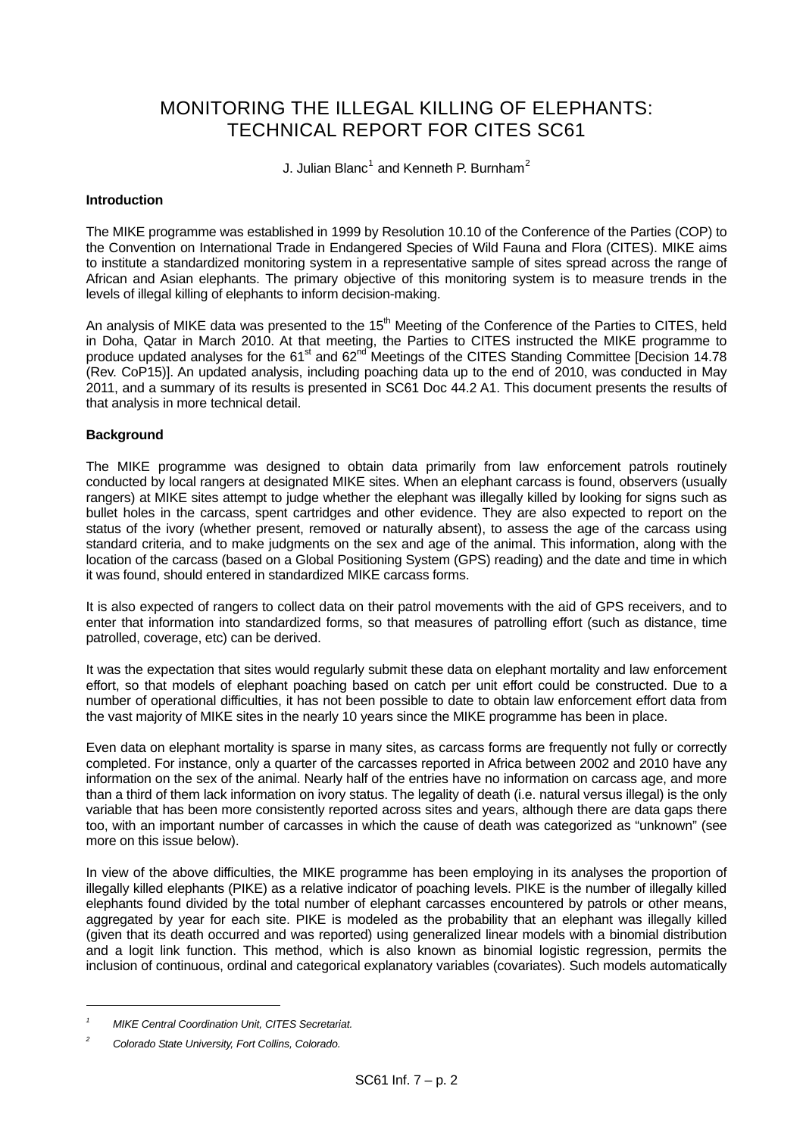# MONITORING THE ILLEGAL KILLING OF ELEPHANTS: TECHNICAL REPORT FOR CITES SC61

J. Julian Blanc<sup>[1](#page-1-0)</sup> and Kenneth P. Burnham<sup>[2](#page-1-1)</sup>

# **Introduction**

The MIKE programme was established in 1999 by Resolution 10.10 of the Conference of the Parties (COP) to the Convention on International Trade in Endangered Species of Wild Fauna and Flora (CITES). MIKE aims to institute a standardized monitoring system in a representative sample of sites spread across the range of African and Asian elephants. The primary objective of this monitoring system is to measure trends in the levels of illegal killing of elephants to inform decision-making.

An analysis of MIKE data was presented to the 15<sup>th</sup> Meeting of the Conference of the Parties to CITES, held in Doha, Qatar in March 2010. At that meeting, the Parties to CITES instructed the MIKE programme to produce updated analyses for the 61<sup>st</sup> and 62<sup>nd</sup> Meetings of the CITES Standing Committee [Decision 14.78 (Rev. CoP15)]. An updated analysis, including poaching data up to the end of 2010, was conducted in May 2011, and a summary of its results is presented in SC61 Doc 44.2 A1. This document presents the results of that analysis in more technical detail.

# **Background**

The MIKE programme was designed to obtain data primarily from law enforcement patrols routinely conducted by local rangers at designated MIKE sites. When an elephant carcass is found, observers (usually rangers) at MIKE sites attempt to judge whether the elephant was illegally killed by looking for signs such as bullet holes in the carcass, spent cartridges and other evidence. They are also expected to report on the status of the ivory (whether present, removed or naturally absent), to assess the age of the carcass using standard criteria, and to make judgments on the sex and age of the animal. This information, along with the location of the carcass (based on a Global Positioning System (GPS) reading) and the date and time in which it was found, should entered in standardized MIKE carcass forms.

It is also expected of rangers to collect data on their patrol movements with the aid of GPS receivers, and to enter that information into standardized forms, so that measures of patrolling effort (such as distance, time patrolled, coverage, etc) can be derived.

It was the expectation that sites would regularly submit these data on elephant mortality and law enforcement effort, so that models of elephant poaching based on catch per unit effort could be constructed. Due to a number of operational difficulties, it has not been possible to date to obtain law enforcement effort data from the vast majority of MIKE sites in the nearly 10 years since the MIKE programme has been in place.

Even data on elephant mortality is sparse in many sites, as carcass forms are frequently not fully or correctly completed. For instance, only a quarter of the carcasses reported in Africa between 2002 and 2010 have any information on the sex of the animal. Nearly half of the entries have no information on carcass age, and more than a third of them lack information on ivory status. The legality of death (i.e. natural versus illegal) is the only variable that has been more consistently reported across sites and years, although there are data gaps there too, with an important number of carcasses in which the cause of death was categorized as "unknown" (see more on this issue below).

In view of the above difficulties, the MIKE programme has been employing in its analyses the proportion of illegally killed elephants (PIKE) as a relative indicator of poaching levels. PIKE is the number of illegally killed elephants found divided by the total number of elephant carcasses encountered by patrols or other means, aggregated by year for each site. PIKE is modeled as the probability that an elephant was illegally killed (given that its death occurred and was reported) using generalized linear models with a binomial distribution and a logit link function. This method, which is also known as binomial logistic regression, permits the inclusion of continuous, ordinal and categorical explanatory variables (covariates). Such models automatically

l

<span id="page-1-0"></span>*<sup>1</sup> MIKE Central Coordination Unit, CITES Secretariat.* 

<span id="page-1-1"></span>*<sup>2</sup> Colorado State University, Fort Collins, Colorado.*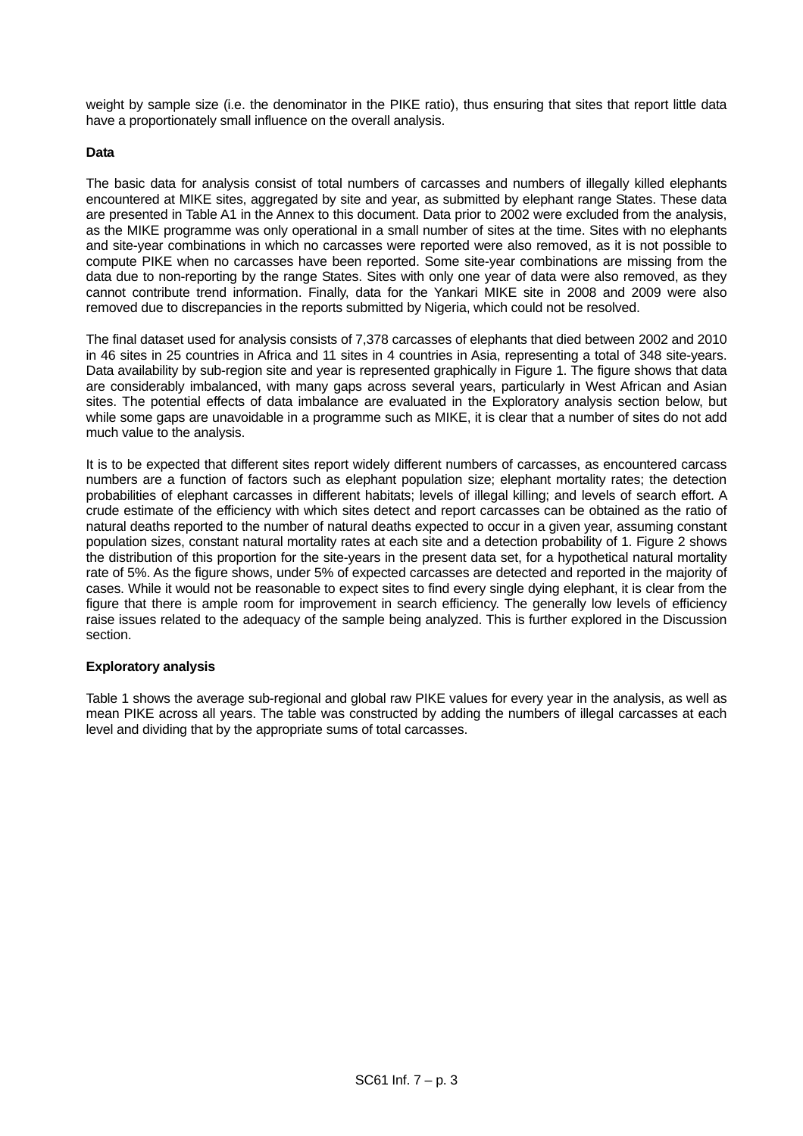weight by sample size (i.e. the denominator in the PIKE ratio), thus ensuring that sites that report little data have a proportionately small influence on the overall analysis.

# **Data**

The basic data for analysis consist of total numbers of carcasses and numbers of illegally killed elephants encountered at MIKE sites, aggregated by site and year, as submitted by elephant range States. These data are presented in Table A1 in the Annex to this document. Data prior to 2002 were excluded from the analysis, as the MIKE programme was only operational in a small number of sites at the time. Sites with no elephants and site-year combinations in which no carcasses were reported were also removed, as it is not possible to compute PIKE when no carcasses have been reported. Some site-year combinations are missing from the data due to non-reporting by the range States. Sites with only one year of data were also removed, as they cannot contribute trend information. Finally, data for the Yankari MIKE site in 2008 and 2009 were also removed due to discrepancies in the reports submitted by Nigeria, which could not be resolved.

The final dataset used for analysis consists of 7,378 carcasses of elephants that died between 2002 and 2010 in 46 sites in 25 countries in Africa and 11 sites in 4 countries in Asia, representing a total of 348 site-years. Data availability by sub-region site and year is represented graphically in [Figure 1](#page-3-0). The figure shows that data are considerably imbalanced, with many gaps across several years, particularly in West African and Asian sites. The potential effects of data imbalance are evaluated in the Exploratory analysis section below, but while some gaps are unavoidable in a programme such as MIKE, it is clear that a number of sites do not add much value to the analysis.

It is to be expected that different sites report widely different numbers of carcasses, as encountered carcass numbers are a function of factors such as elephant population size; elephant mortality rates; the detection probabilities of elephant carcasses in different habitats; levels of illegal killing; and levels of search effort. A crude estimate of the efficiency with which sites detect and report carcasses can be obtained as the ratio of natural deaths reported to the number of natural deaths expected to occur in a given year, assuming constant population sizes, constant natural mortality rates at each site and a detection probability of 1. [Figure 2](#page-4-0) shows the distribution of this proportion for the site-years in the present data set, for a hypothetical natural mortality rate of 5%. As the figure shows, under 5% of expected carcasses are detected and reported in the majority of cases. While it would not be reasonable to expect sites to find every single dying elephant, it is clear from the figure that there is ample room for improvement in search efficiency. The generally low levels of efficiency raise issues related to the adequacy of the sample being analyzed. This is further explored in the Discussion section.

## **Exploratory analysis**

[Table 1](#page-4-1) shows the average sub-regional and global raw PIKE values for every year in the analysis, as well as mean PIKE across all years. The table was constructed by adding the numbers of illegal carcasses at each level and dividing that by the appropriate sums of total carcasses.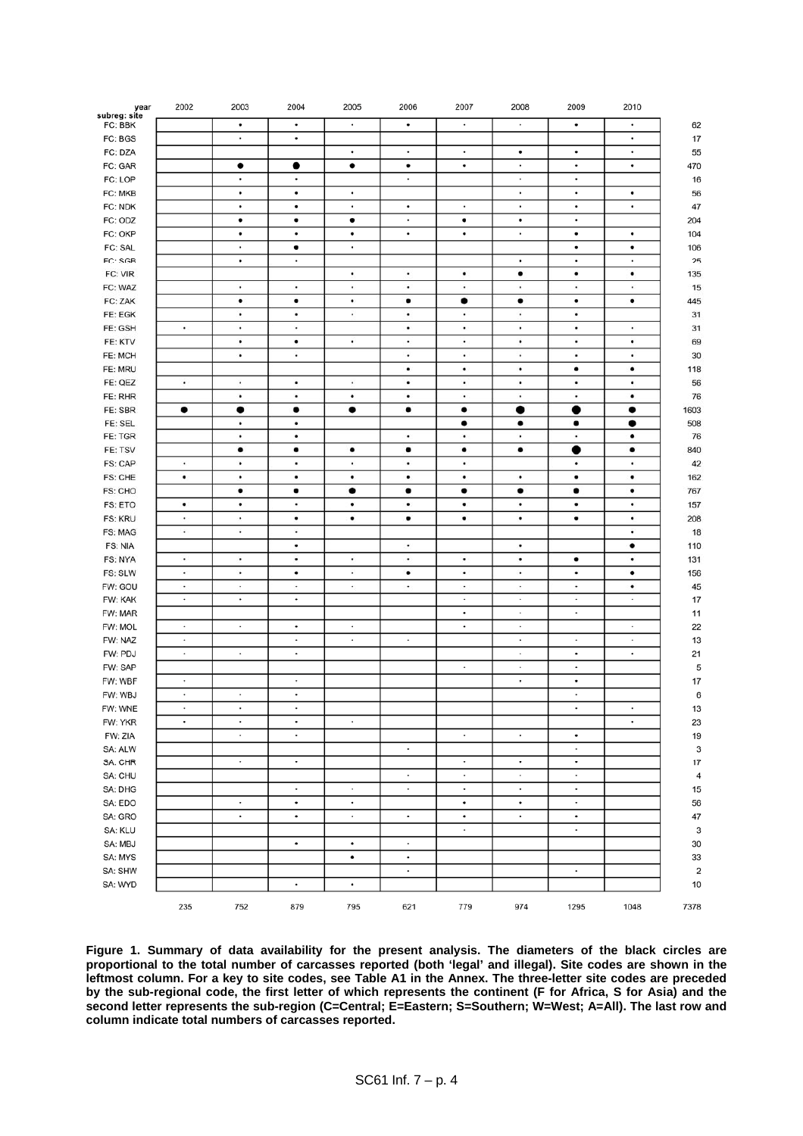| year<br>subreg: site | 2002      | 2003           | 2004      | 2005      | 2006      | 2007           | 2008      | 2009      | 2010      |          |
|----------------------|-----------|----------------|-----------|-----------|-----------|----------------|-----------|-----------|-----------|----------|
| FC: BBK              |           | $\bullet$      | $\bullet$ | $\bullet$ | $\bullet$ | $\cdot$        | $\cdot$   | $\bullet$ | $\bullet$ | 62       |
| FC: BGS              |           | $\bullet$      | $\bullet$ |           |           |                |           |           | $\bullet$ | 17       |
| FC: DZA              |           |                |           | $\bullet$ | ٠         | ٠              | ٠         | ٠         | ٠         | 55       |
| FC: GAR              |           | $\bullet$      | $\bullet$ | $\bullet$ | $\bullet$ | ٠              | $\bullet$ | $\bullet$ | $\bullet$ | 470      |
| FC: LOP              |           | $\bullet$      | $\bullet$ |           | $\cdot$   |                | $\bullet$ | $\bullet$ |           | 16       |
| FC: MKB              |           | $\bullet$      | $\bullet$ | $\bullet$ |           |                | $\bullet$ | $\bullet$ | $\bullet$ | 56       |
| FC: NDK              |           | ٠              | ٠         | ٠         | ٠         | ٠              | ٠         | ٠         | ٠         | 47       |
| FC: ODZ              |           | $\bullet$      | ٠         | ٠         | $\bullet$ | $\bullet$      | $\bullet$ | $\bullet$ |           | 204      |
| FC: OKP              |           | $\bullet$      | $\bullet$ | $\bullet$ | $\bullet$ | $\bullet$      | $\bullet$ | $\bullet$ | $\bullet$ | 104      |
| FC: SAL              |           | $\bullet$      | ٠         | $\bullet$ |           |                |           | ٠         | $\bullet$ | 106      |
| FC: SGB              |           | ٠              | $\cdot$   |           |           |                | $\bullet$ | $\bullet$ | $\bullet$ | 25       |
|                      |           |                |           | ۰         | $\bullet$ | ٠              | $\bullet$ | $\bullet$ | ٠         |          |
| FC: VIR              |           |                |           |           |           |                |           |           |           | 135      |
| FC: WAZ              |           | $\bullet$      | $\bullet$ | ٠         | $\bullet$ | ٠              | ٠         | $\bullet$ | $\bullet$ | 15       |
| FC: ZAK              |           | ٠              | $\bullet$ | $\bullet$ | ٠         | $\bullet$      | ٠         | ٠         | ٠         | 445      |
| FE: EGK              |           | ٠              | $\bullet$ | $\bullet$ | $\bullet$ | $\cdot$        | $\bullet$ | ٠         |           | 31       |
| FE: GSH              | $\bullet$ | ٠              | $\bullet$ |           | ٠         | ٠              | $\bullet$ | ٠         | ٠         | 31       |
| FE: KTV              |           | ٠              | $\bullet$ | ٠         | $\bullet$ | ٠              | $\bullet$ | ٠         | ٠         | 69       |
| FE: MCH              |           | ٠              | $\cdot$   |           | $\cdot$   | $\bullet$      | $\cdot$   | $\bullet$ | ٠         | 30       |
| FE: MRU              |           |                |           |           | ٠         | ٠              | ٠         | ٠         | ٠         | 118      |
| FE: QEZ              | $\bullet$ | $\blacksquare$ | $\bullet$ | $\bullet$ | ٠         | $\blacksquare$ | $\bullet$ | ٠         | ٠         | 56       |
| FE: RHR              |           | ٠              | $\bullet$ | ٠         | $\bullet$ | $\bullet$      | $\bullet$ | $\bullet$ | $\bullet$ | 76       |
| FE: SBR              | $\bullet$ |                | ٠         | ٠         | ٠         | ٠              |           |           | ٠         | 1603     |
| FE: SEL              |           | ٠              | $\bullet$ |           |           | $\bullet$      | $\bullet$ | $\bullet$ | $\bullet$ | 508      |
| FE: TGR              |           | ٠              | $\bullet$ |           | $\bullet$ | $\bullet$      | $\bullet$ | $\bullet$ | $\bullet$ | 76       |
| FE: TSV              |           | $\bullet$      | ٠         | ٠         | ٠         | ٠              | ٠         |           | $\bullet$ | 840      |
| FS: CAP              | $\bullet$ | ٠              | ۰         | ٠         | $\bullet$ | ٠              |           | $\bullet$ | ٠         | 42       |
| FS: CHE              | ٠         | ٠              | $\bullet$ | ٠         | ٠         | ٠              | ٠         |           | ٠         | 162      |
| FS: CHO              |           | ٠              | ٠         | ٠         | ٠         | ٠              | ٠         | ٠         | ٠         | 767      |
| FS: ETO              | ٠         | $\bullet$      | $\bullet$ | $\bullet$ | ٠         | ٠              | $\bullet$ | ٠         | $\bullet$ | 157      |
| <b>FS: KRU</b>       | $\bullet$ | $\bullet$      | ٠         | ٠         | ٠         | $\bullet$      | ٠         | ٠         | ٠         | 208      |
| FS: MAG              | $\bullet$ | $\bullet$      | $\cdot$   |           |           |                |           |           | ٠         | 18       |
| FS: NIA              |           |                | ٠         |           | $\bullet$ |                | ٠         |           | ٠         | 110      |
| FS: NYA              | $\bullet$ | ٠              | $\bullet$ | ٠         | $\bullet$ | ٠              | ٠         | ٠         | ٠         | 131      |
| FS: SLW              | $\bullet$ | ٠              | ٠         | ٠         | ٠         | ٠              | ٠         | ٠         | ٠         | 156      |
| FW: GOU              | ٠         | ٠              | ٠         | $\bullet$ | ٠         | ٠              | ٠         | ٠         | ٠         | 45       |
| FW: KAK              | $\bullet$ | $\bullet$      | $\bullet$ |           |           | $\cdot$        | $\bullet$ | $\bullet$ | $\cdot$   | 17       |
| FW: MAR              |           |                |           |           |           | ٠              | $\bullet$ | $\bullet$ |           | 11       |
| FW: MOL              | ٠         | $\bullet$      | $\bullet$ | ٠         |           | $\bullet$      | $\bullet$ |           | ٠         | 22       |
| FW: NAZ              | $\cdot$   |                | $\bullet$ | $\bullet$ | $\bullet$ |                | $\bullet$ | $\cdot$   | ٠         | 13       |
| FW: PDJ              | $\bullet$ | $\bullet$      | $\bullet$ |           |           |                | ٠         | ٠         | ٠         | 21       |
| FW: SAP              |           |                |           |           |           | $\cdot$        | $\cdot$   | $\bullet$ |           | 5        |
| FW: WBF              | $\bullet$ |                | $\cdot$   |           |           |                | $\bullet$ | ٠         |           | 17       |
| FW: WBJ              | $\bullet$ | $\cdot$        | $\bullet$ |           |           |                |           | $\bullet$ |           | 6        |
|                      | ٠         | ٠              | ٠         |           |           |                |           | ٠         | ٠         |          |
| FW: WNE<br>FW: YKR   | $\bullet$ | $\bullet$      | $\bullet$ | $\bullet$ |           |                |           |           | $\bullet$ | 13<br>23 |
|                      |           | $\cdot$        | $\bullet$ |           |           | ٠              | $\bullet$ |           |           |          |
| FW: ZIA              |           |                |           |           | $\bullet$ |                |           | ٠         |           | 19       |
| SA: ALW              |           |                |           |           |           |                |           | ٠         |           | 3        |
| SA: CHR              |           | $\cdot$        | $\cdot$   |           |           | $\cdot$        | $\bullet$ | $\bullet$ |           | 17       |
| SA: CHU              |           |                |           |           | ٠         | $\bullet$      | $\cdot$   | $\bullet$ |           | 4        |
| SA: DHG              |           |                | $\bullet$ | ٠         | ٠         | $\bullet$      | $\bullet$ | ٠         |           | 15       |
| SA: EDO              |           | $\bullet$      | $\bullet$ | $\bullet$ |           | ٠              | $\bullet$ | $\bullet$ |           | 56       |
| SA: GRO              |           | $\bullet$      | $\bullet$ | $\bullet$ | $\bullet$ | $\bullet$      | $\bullet$ | $\bullet$ |           | 47       |
| SA: KLU              |           |                |           |           |           | ۰              |           | $\bullet$ |           | 3        |
| SA: MBJ              |           |                | ٠         | ٠         | ٠         |                |           |           |           | 30       |
| SA: MYS              |           |                |           | $\bullet$ | $\bullet$ |                |           |           |           | 33       |
| SA: SHW              |           |                |           |           | ٠         |                |           | $\cdot$   |           | 2        |
| SA: WYD              |           |                | $\bullet$ | ٠         |           |                |           |           |           | 10       |
|                      | 235       | 752            | 879       | 795       | 621       | 779            | 974       | 1295      | 1048      | 7378     |

<span id="page-3-0"></span>**Figure 1. Summary of data availability for the present analysis. The diameters of the black circles are proportional to the total number of carcasses reported (both 'legal' and illegal). Site codes are shown in the leftmost column. For a key to site codes, see Table A1 in the Annex. The three-letter site codes are preceded by the sub-regional code, the first letter of which represents the continent (F for Africa, S for Asia) and the second letter represents the sub-region (C=Central; E=Eastern; S=Southern; W=West; A=All). The last row and column indicate total numbers of carcasses reported.**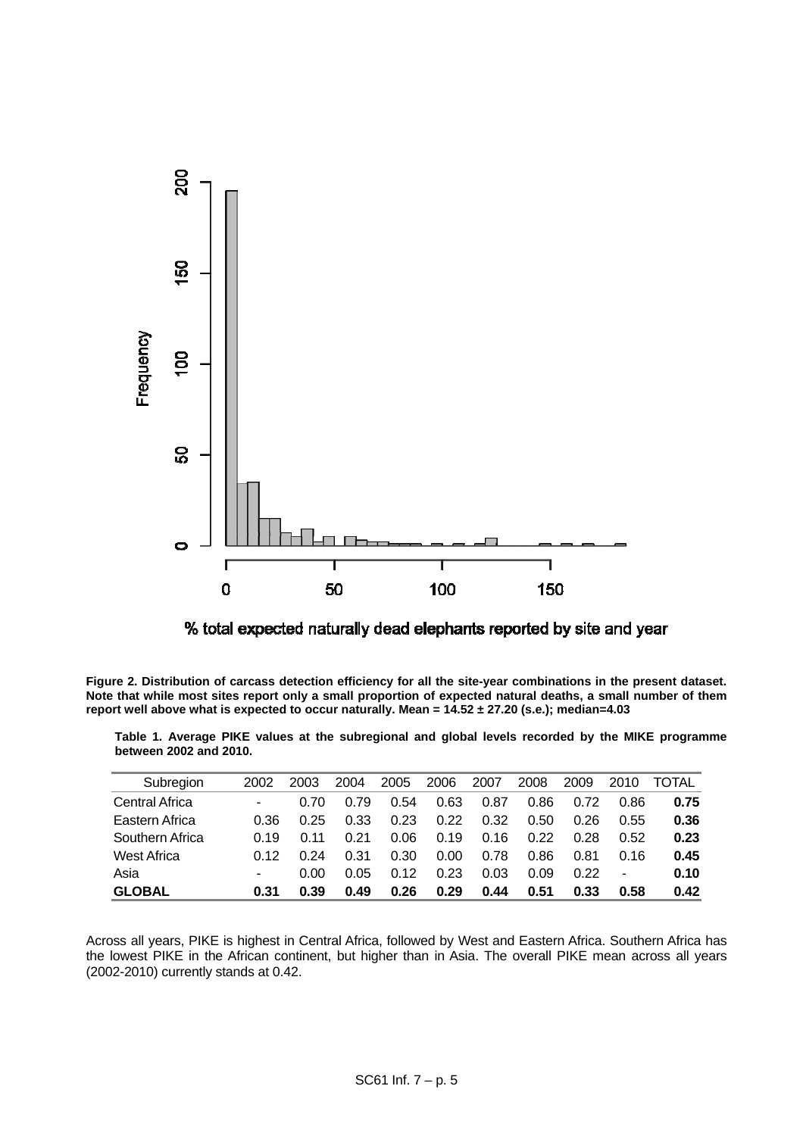

% total expected naturally dead elephants reported by site and year

<span id="page-4-1"></span><span id="page-4-0"></span>**Figure 2. Distribution of carcass detection efficiency for all the site-year combinations in the present dataset. Note that while most sites report only a small proportion of expected natural deaths, a small number of them report well above what is expected to occur naturally. Mean = 14.52 ± 27.20 (s.e.); median=4.03** 

| Subregion             | 2002                     | 2003 | 2004 | 2005 | 2006 | 2007 | 2008 | 2009 | 2010 | TOTAL |
|-----------------------|--------------------------|------|------|------|------|------|------|------|------|-------|
| <b>Central Africa</b> | $\overline{\phantom{a}}$ | 0.70 | 0.79 | 0.54 | 0.63 | 0.87 | 0.86 | 0.72 | 0.86 | 0.75  |
| Eastern Africa        | 0.36                     | 0.25 | 0.33 | 0.23 | 0.22 | 0.32 | 0.50 | 0.26 | 0.55 | 0.36  |
| Southern Africa       | 0.19                     | O 11 | 0.21 | 0.06 | 0.19 | 0.16 | 0.22 | 0.28 | 0.52 | 0.23  |
| West Africa           | በ 12                     | 0.24 | 0.31 | 0.30 | 0.00 | 0.78 | 0.86 | 0.81 | 0.16 | 0.45  |
| Asia                  | ٠                        | 0.00 | 0.05 | 0.12 | 0.23 | 0.03 | 0.09 | 0.22 | ۰    | 0.10  |
| <b>GLOBAL</b>         | 0.31                     | 0.39 | 0.49 | 0.26 | 0.29 | 0.44 | 0.51 | 0.33 | 0.58 | 0.42  |

**Table 1. Average PIKE values at the subregional and global levels recorded by the MIKE programme between 2002 and 2010.** 

Across all years, PIKE is highest in Central Africa, followed by West and Eastern Africa. Southern Africa has the lowest PIKE in the African continent, but higher than in Asia. The overall PIKE mean across all years (2002-2010) currently stands at 0.42.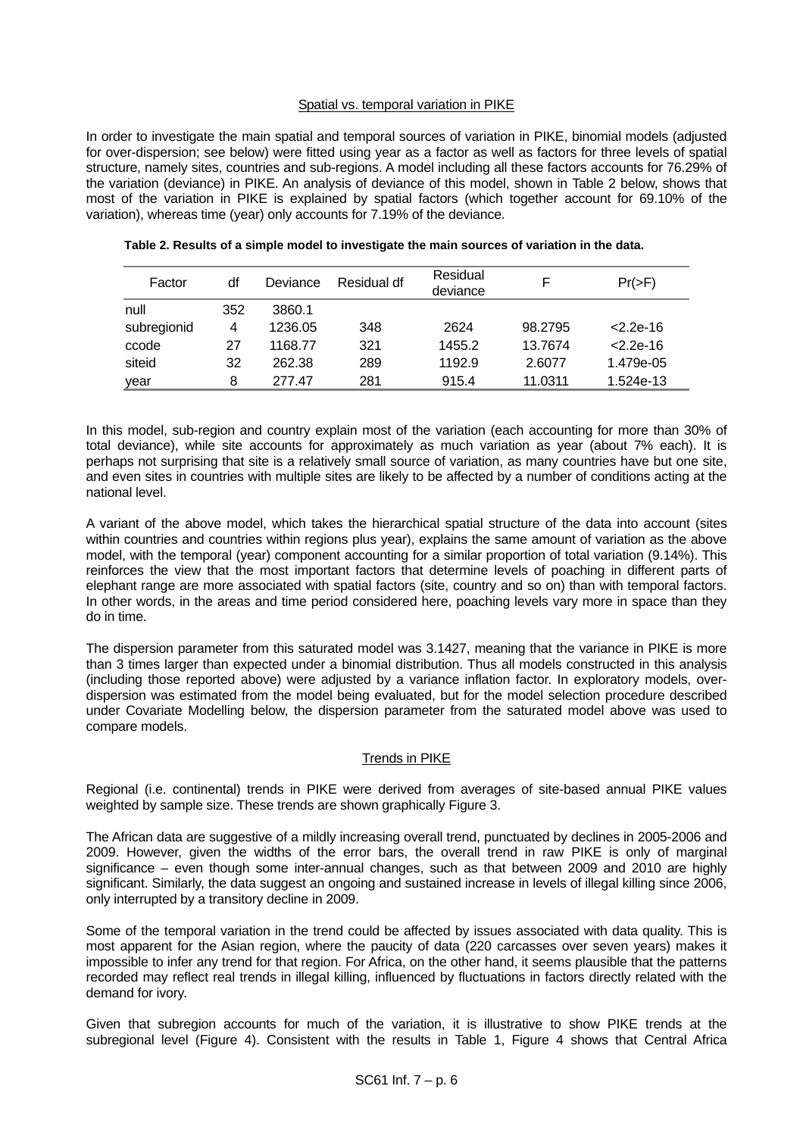# Spatial vs. temporal variation in PIKE

In order to investigate the main spatial and temporal sources of variation in PIKE, binomial models (adjusted for over-dispersion; see below) were fitted using year as a factor as well as factors for three levels of spatial structure, namely sites, countries and sub-regions. A model including all these factors accounts for 76.29% of the variation (deviance) in PIKE. An analysis of deviance of this model, shown in [Table 2](#page-5-0) below, shows that most of the variation in PIKE is explained by spatial factors (which together account for 69.10% of the variation), whereas time (year) only accounts for 7.19% of the deviance.

| Factor      | df  | Deviance | Residual df | Residual<br>deviance |         | $Pr(>=F)$     |
|-------------|-----|----------|-------------|----------------------|---------|---------------|
| null        | 352 | 3860.1   |             |                      |         |               |
| subregionid | 4   | 1236.05  | 348         | 2624                 | 98.2795 | $< 2.2e - 16$ |
| ccode       | 27  | 1168.77  | 321         | 1455.2               | 13.7674 | $< 2.2e - 16$ |
| siteid      | 32  | 262.38   | 289         | 1192.9               | 2.6077  | 1.479e-05     |
| year        | 8   | 277.47   | 281         | 915.4                | 11.0311 | 1.524e-13     |

<span id="page-5-0"></span>

| Table 2. Results of a simple model to investigate the main sources of variation in the data. |
|----------------------------------------------------------------------------------------------|
|----------------------------------------------------------------------------------------------|

In this model, sub-region and country explain most of the variation (each accounting for more than 30% of total deviance), while site accounts for approximately as much variation as year (about 7% each). It is perhaps not surprising that site is a relatively small source of variation, as many countries have but one site, and even sites in countries with multiple sites are likely to be affected by a number of conditions acting at the national level.

A variant of the above model, which takes the hierarchical spatial structure of the data into account (sites within countries and countries within regions plus year), explains the same amount of variation as the above model, with the temporal (year) component accounting for a similar proportion of total variation (9.14%). This reinforces the view that the most important factors that determine levels of poaching in different parts of elephant range are more associated with spatial factors (site, country and so on) than with temporal factors. In other words, in the areas and time period considered here, poaching levels vary more in space than they do in time.

The dispersion parameter from this saturated model was 3.1427, meaning that the variance in PIKE is more than 3 times larger than expected under a binomial distribution. Thus all models constructed in this analysis (including those reported above) were adjusted by a variance inflation factor. In exploratory models, overdispersion was estimated from the model being evaluated, but for the model selection procedure described under Covariate Modelling below, the dispersion parameter from the saturated model above was used to compare models.

## Trends in PIKE

Regional (i.e. continental) trends in PIKE were derived from averages of site-based annual PIKE values weighted by sample size. These trends are shown graphically [Figure 3](#page-6-0).

The African data are suggestive of a mildly increasing overall trend, punctuated by declines in 2005-2006 and 2009. However, given the widths of the error bars, the overall trend in raw PIKE is only of marginal significance – even though some inter-annual changes, such as that between 2009 and 2010 are highly significant. Similarly, the data suggest an ongoing and sustained increase in levels of illegal killing since 2006, only interrupted by a transitory decline in 2009.

Some of the temporal variation in the trend could be affected by issues associated with data quality. This is most apparent for the Asian region, where the paucity of data (220 carcasses over seven years) makes it impossible to infer any trend for that region. For Africa, on the other hand, it seems plausible that the patterns recorded may reflect real trends in illegal killing, influenced by fluctuations in factors directly related with the demand for ivory.

Given that subregion accounts for much of the variation, it is illustrative to show PIKE trends at the subregional level [\(Figure 4\)](#page-6-1). Consistent with the results in [Table 1](#page-4-1), [Figure 4](#page-6-1) shows that Central Africa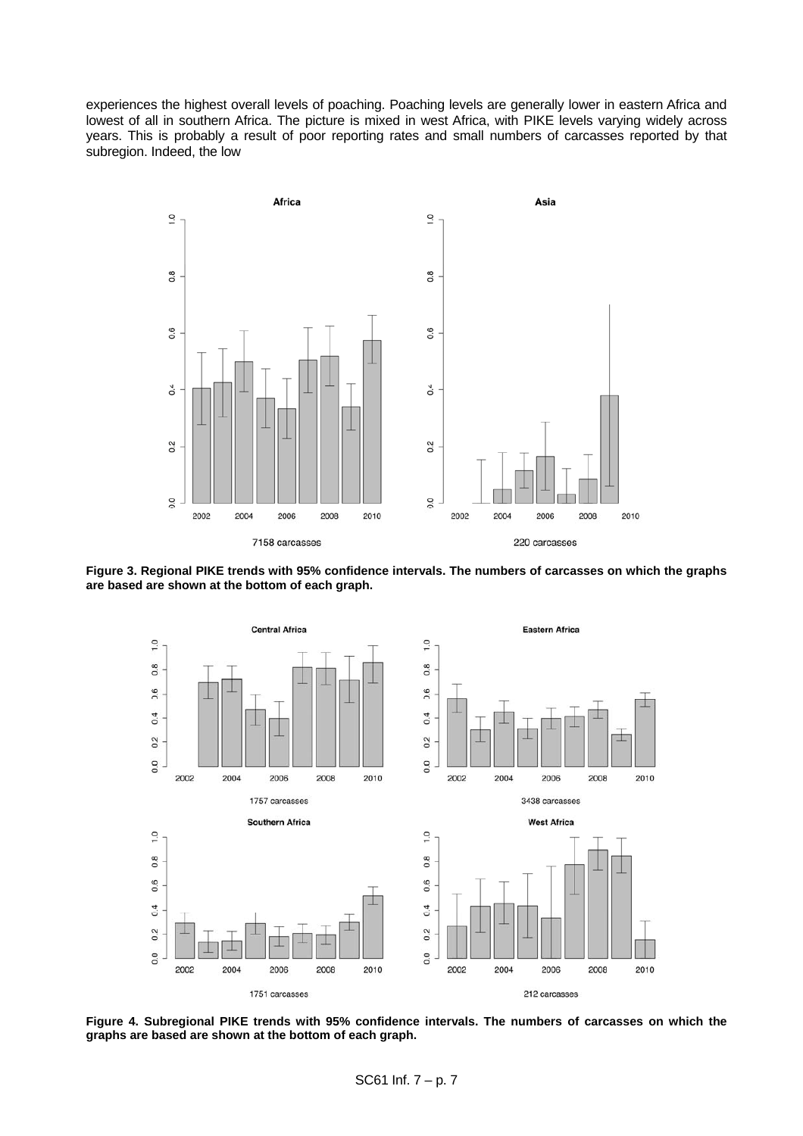experiences the highest overall levels of poaching. Poaching levels are generally lower in eastern Africa and lowest of all in southern Africa. The picture is mixed in west Africa, with PIKE levels varying widely across years. This is probably a result of poor reporting rates and small numbers of carcasses reported by that subregion. Indeed, the low



<span id="page-6-0"></span>



<span id="page-6-1"></span>**Figure 4. Subregional PIKE trends with 95% confidence intervals. The numbers of carcasses on which the graphs are based are shown at the bottom of each graph.**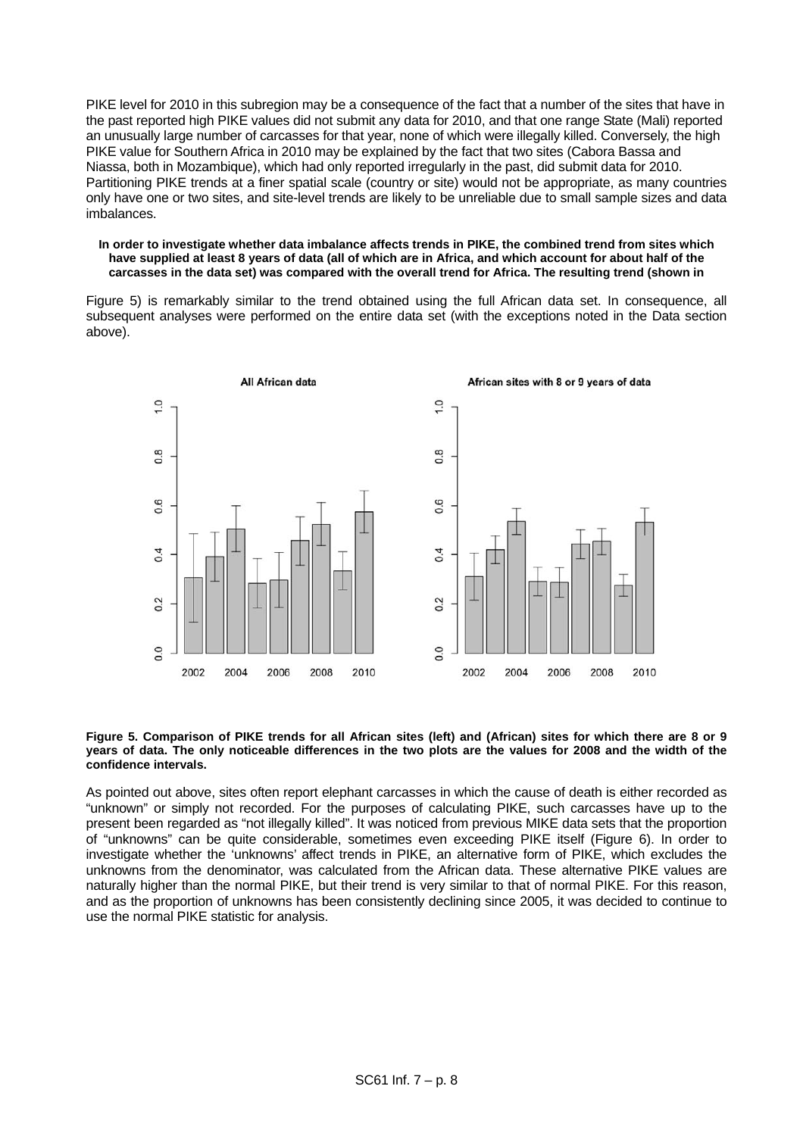PIKE level for 2010 in this subregion may be a consequence of the fact that a number of the sites that have in the past reported high PIKE values did not submit any data for 2010, and that one range State (Mali) reported an unusually large number of carcasses for that year, none of which were illegally killed. Conversely, the high PIKE value for Southern Africa in 2010 may be explained by the fact that two sites (Cabora Bassa and Niassa, both in Mozambique), which had only reported irregularly in the past, did submit data for 2010. Partitioning PIKE trends at a finer spatial scale (country or site) would not be appropriate, as many countries only have one or two sites, and site-level trends are likely to be unreliable due to small sample sizes and data imbalances.

#### **In order to investigate whether data imbalance affects trends in PIKE, the combined trend from sites which have supplied at least 8 years of data (all of which are in Africa, and which account for about half of the carcasses in the data set) was compared with the overall trend for Africa. The resulting trend (shown in**

Figure 5) is remarkably similar to the trend obtained using the full African data set. In consequence, all subsequent analyses were performed on the entire data set (with the exceptions noted in the Data section above).



#### **Figure 5. Comparison of PIKE trends for all African sites (left) and (African) sites for which there are 8 or 9 years of data. The only noticeable differences in the two plots are the values for 2008 and the width of the confidence intervals.**

As pointed out above, sites often report elephant carcasses in which the cause of death is either recorded as "unknown" or simply not recorded. For the purposes of calculating PIKE, such carcasses have up to the present been regarded as "not illegally killed". It was noticed from previous MIKE data sets that the proportion of "unknowns" can be quite considerable, sometimes even exceeding PIKE itself [\(Figure 6\)](#page-8-0). In order to investigate whether the 'unknowns' affect trends in PIKE, an alternative form of PIKE, which excludes the unknowns from the denominator, was calculated from the African data. These alternative PIKE values are naturally higher than the normal PIKE, but their trend is very similar to that of normal PIKE. For this reason, and as the proportion of unknowns has been consistently declining since 2005, it was decided to continue to use the normal PIKE statistic for analysis.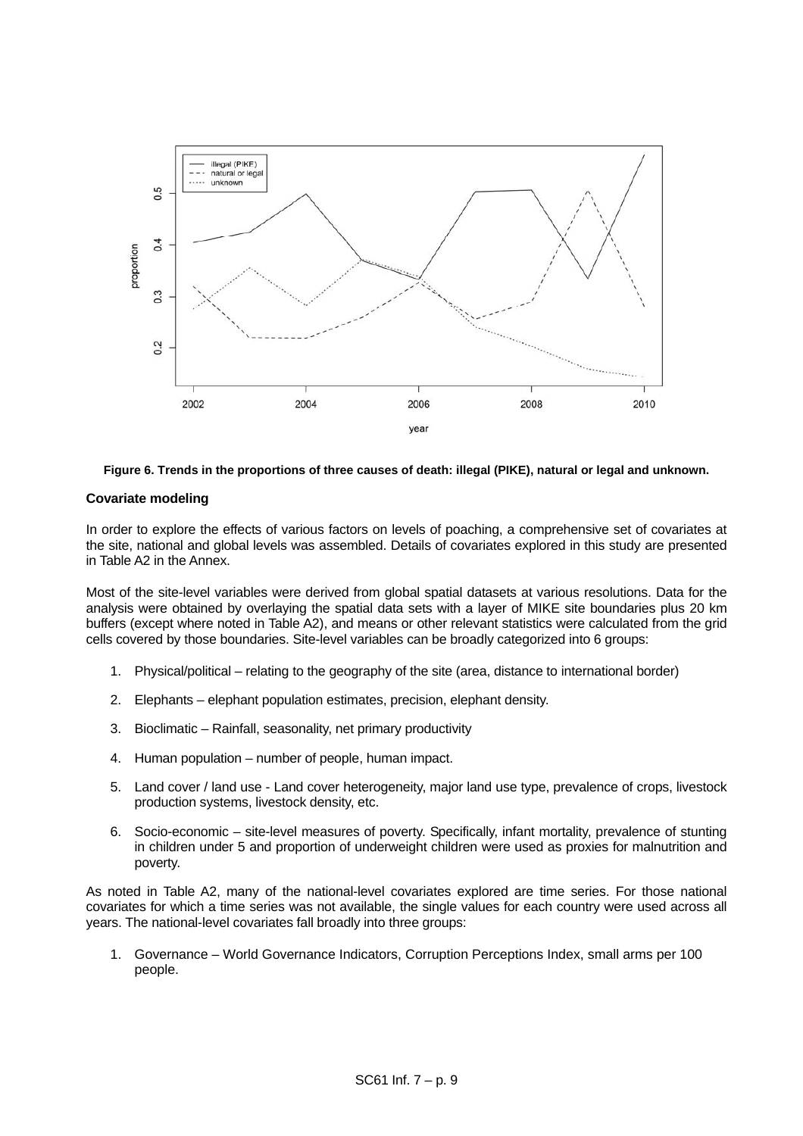

## **Figure 6. Trends in the proportions of three causes of death: illegal (PIKE), natural or legal and unknown.**

# <span id="page-8-0"></span>**Covariate modeling**

In order to explore the effects of various factors on levels of poaching, a comprehensive set of covariates at the site, national and global levels was assembled. Details of covariates explored in this study are presented in Table A2 in the Annex.

Most of the site-level variables were derived from global spatial datasets at various resolutions. Data for the analysis were obtained by overlaying the spatial data sets with a layer of MIKE site boundaries plus 20 km buffers (except where noted in Table A2), and means or other relevant statistics were calculated from the grid cells covered by those boundaries. Site-level variables can be broadly categorized into 6 groups:

- 1. Physical/political relating to the geography of the site (area, distance to international border)
- 2. Elephants elephant population estimates, precision, elephant density.
- 3. Bioclimatic Rainfall, seasonality, net primary productivity
- 4. Human population number of people, human impact.
- 5. Land cover / land use Land cover heterogeneity, major land use type, prevalence of crops, livestock production systems, livestock density, etc.
- 6. Socio-economic site-level measures of poverty. Specifically, infant mortality, prevalence of stunting in children under 5 and proportion of underweight children were used as proxies for malnutrition and poverty.

As noted in Table A2, many of the national-level covariates explored are time series. For those national covariates for which a time series was not available, the single values for each country were used across all years. The national-level covariates fall broadly into three groups:

1. Governance – World Governance Indicators, Corruption Perceptions Index, small arms per 100 people.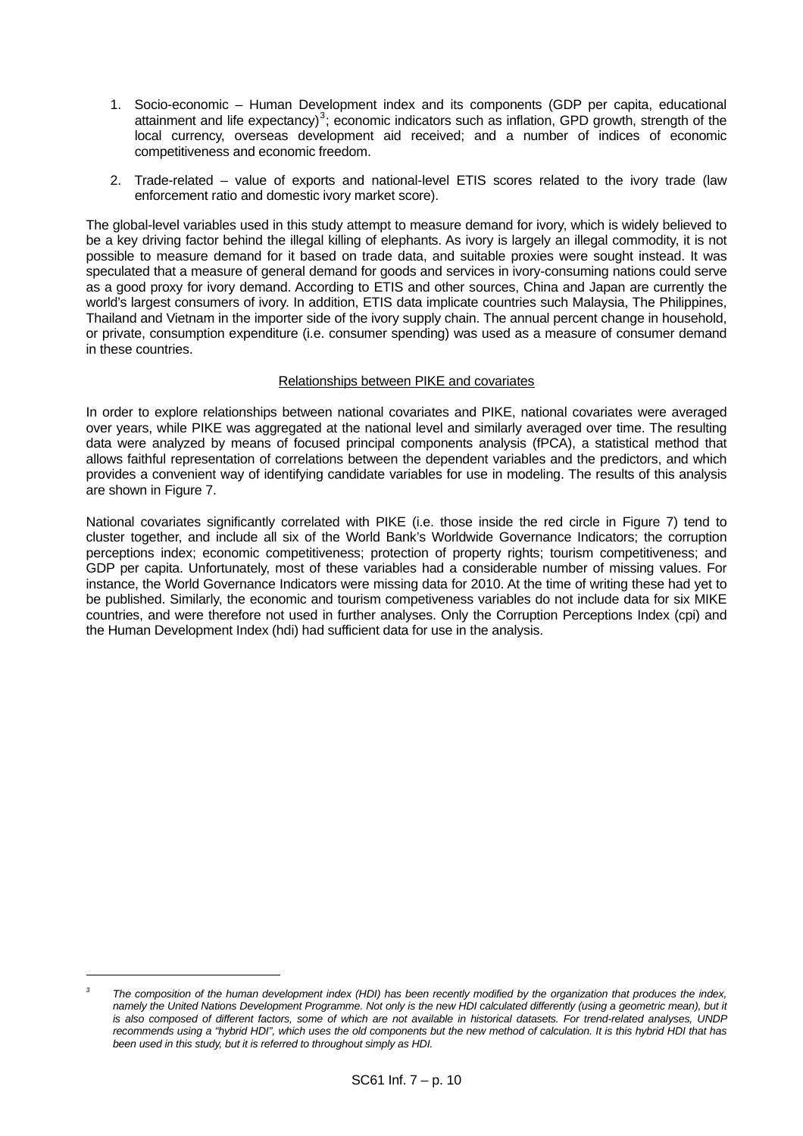- 1. Socio-economic Human Development index and its components (GDP per capita, educational attainment and life expectancy)<sup>[3](#page-9-0)</sup>; economic indicators such as inflation, GPD growth, strength of the local currency, overseas development aid received; and a number of indices of economic competitiveness and economic freedom.
- 2. Trade-related value of exports and national-level ETIS scores related to the ivory trade (law enforcement ratio and domestic ivory market score).

The global-level variables used in this study attempt to measure demand for ivory, which is widely believed to be a key driving factor behind the illegal killing of elephants. As ivory is largely an illegal commodity, it is not possible to measure demand for it based on trade data, and suitable proxies were sought instead. It was speculated that a measure of general demand for goods and services in ivory-consuming nations could serve as a good proxy for ivory demand. According to ETIS and other sources, China and Japan are currently the world's largest consumers of ivory. In addition, ETIS data implicate countries such Malaysia, The Philippines, Thailand and Vietnam in the importer side of the ivory supply chain. The annual percent change in household, or private, consumption expenditure (i.e. consumer spending) was used as a measure of consumer demand in these countries.

# Relationships between PIKE and covariates

In order to explore relationships between national covariates and PIKE, national covariates were averaged over years, while PIKE was aggregated at the national level and similarly averaged over time. The resulting data were analyzed by means of focused principal components analysis (fPCA), a statistical method that allows faithful representation of correlations between the dependent variables and the predictors, and which provides a convenient way of identifying candidate variables for use in modeling. The results of this analysis are shown in [Figure 7.](#page-10-0)

National covariates significantly correlated with PIKE (i.e. those inside the red circle in [Figure 7](#page-10-0)) tend to cluster together, and include all six of the World Bank's Worldwide Governance Indicators; the corruption perceptions index; economic competitiveness; protection of property rights; tourism competitiveness; and GDP per capita. Unfortunately, most of these variables had a considerable number of missing values. For instance, the World Governance Indicators were missing data for 2010. At the time of writing these had yet to be published. Similarly, the economic and tourism competiveness variables do not include data for six MIKE countries, and were therefore not used in further analyses. Only the Corruption Perceptions Index (cpi) and the Human Development Index (hdi) had sufficient data for use in the analysis.

l

<span id="page-9-0"></span>*<sup>3</sup> The composition of the human development index (HDI) has been recently modified by the organization that produces the index, namely the United Nations Development Programme. Not only is the new HDI calculated differently (using a geometric mean), but it is also composed of different factors, some of which are not available in historical datasets. For trend-related analyses, UNDP recommends using a "hybrid HDI", which uses the old components but the new method of calculation. It is this hybrid HDI that has been used in this study, but it is referred to throughout simply as HDI.*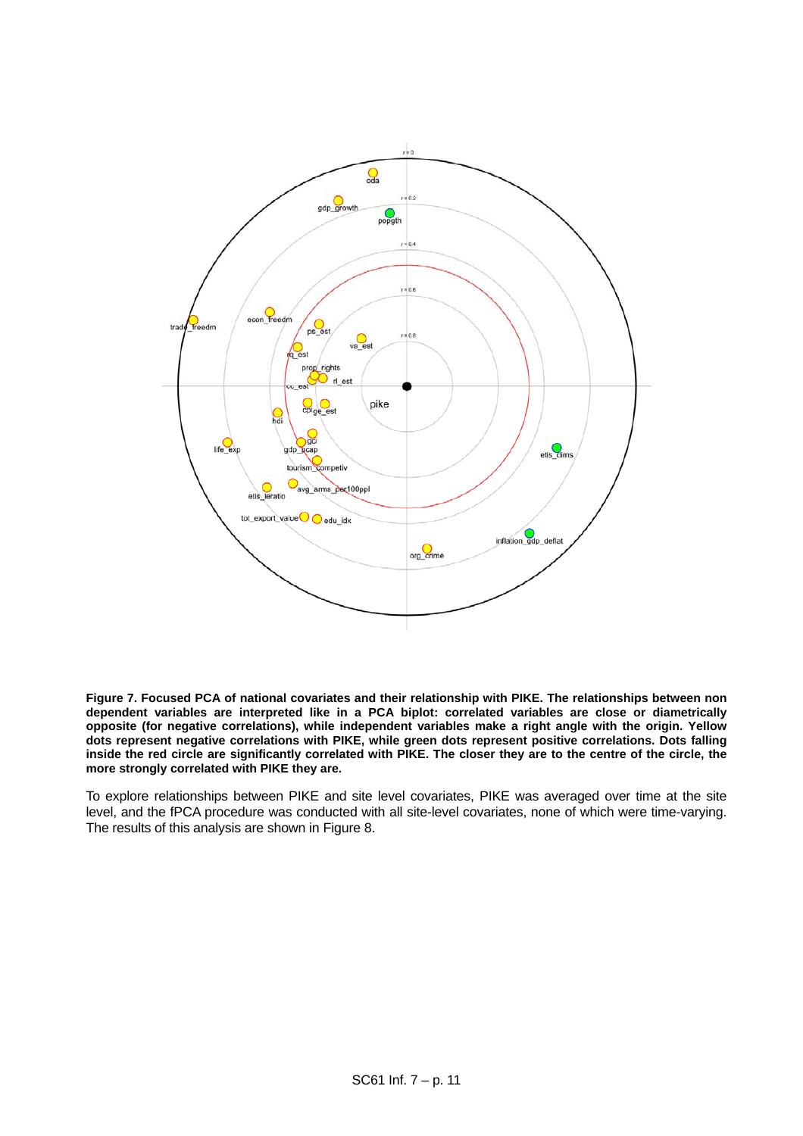

<span id="page-10-0"></span>**Figure 7. Focused PCA of national covariates and their relationship with PIKE. The relationships between non dependent variables are interpreted like in a PCA biplot: correlated variables are close or diametrically opposite (for negative correlations), while independent variables make a right angle with the origin. Yellow dots represent negative correlations with PIKE, while green dots represent positive correlations. Dots falling inside the red circle are significantly correlated with PIKE. The closer they are to the centre of the circle, the more strongly correlated with PIKE they are.** 

To explore relationships between PIKE and site level covariates, PIKE was averaged over time at the site level, and the fPCA procedure was conducted with all site-level covariates, none of which were time-varying. The results of this analysis are shown in [Figure 8](#page-11-0).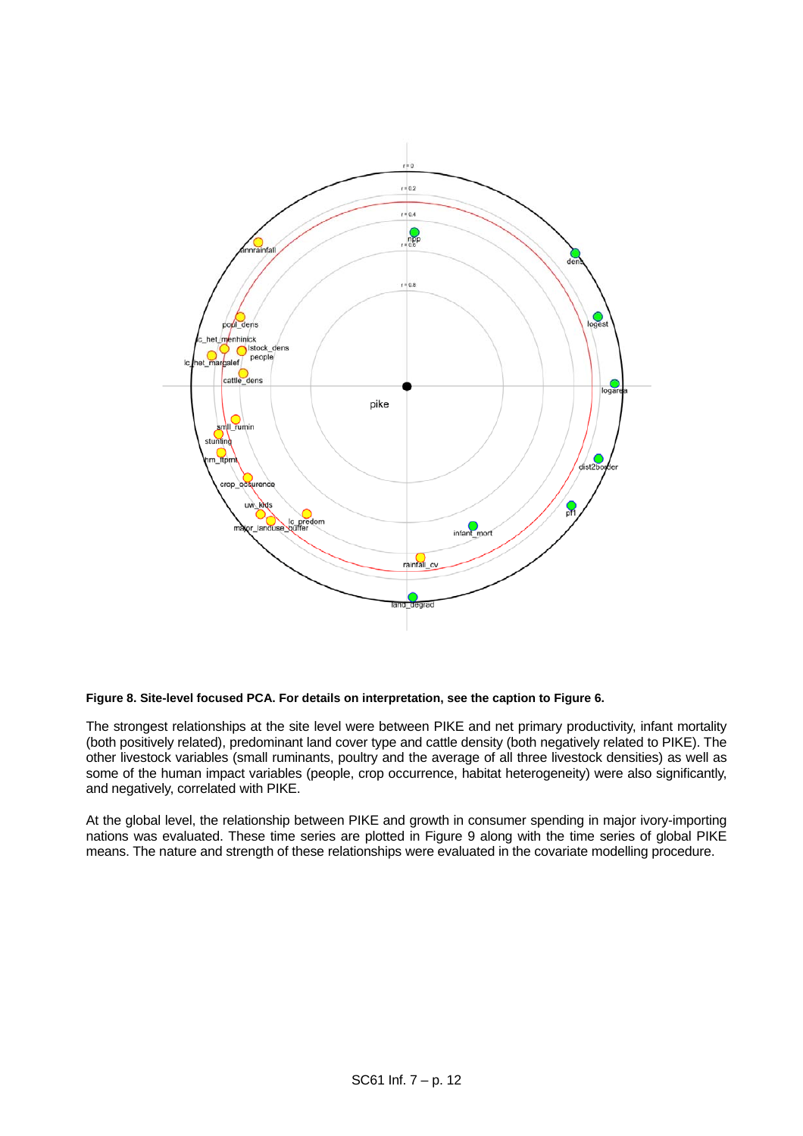

## <span id="page-11-0"></span>**Figure 8. Site-level focused PCA. For details on interpretation, see the caption to Figure 6.**

The strongest relationships at the site level were between PIKE and net primary productivity, infant mortality (both positively related), predominant land cover type and cattle density (both negatively related to PIKE). The other livestock variables (small ruminants, poultry and the average of all three livestock densities) as well as some of the human impact variables (people, crop occurrence, habitat heterogeneity) were also significantly, and negatively, correlated with PIKE.

At the global level, the relationship between PIKE and growth in consumer spending in major ivory-importing nations was evaluated. These time series are plotted in [Figure 9](#page-12-0) along with the time series of global PIKE means. The nature and strength of these relationships were evaluated in the covariate modelling procedure.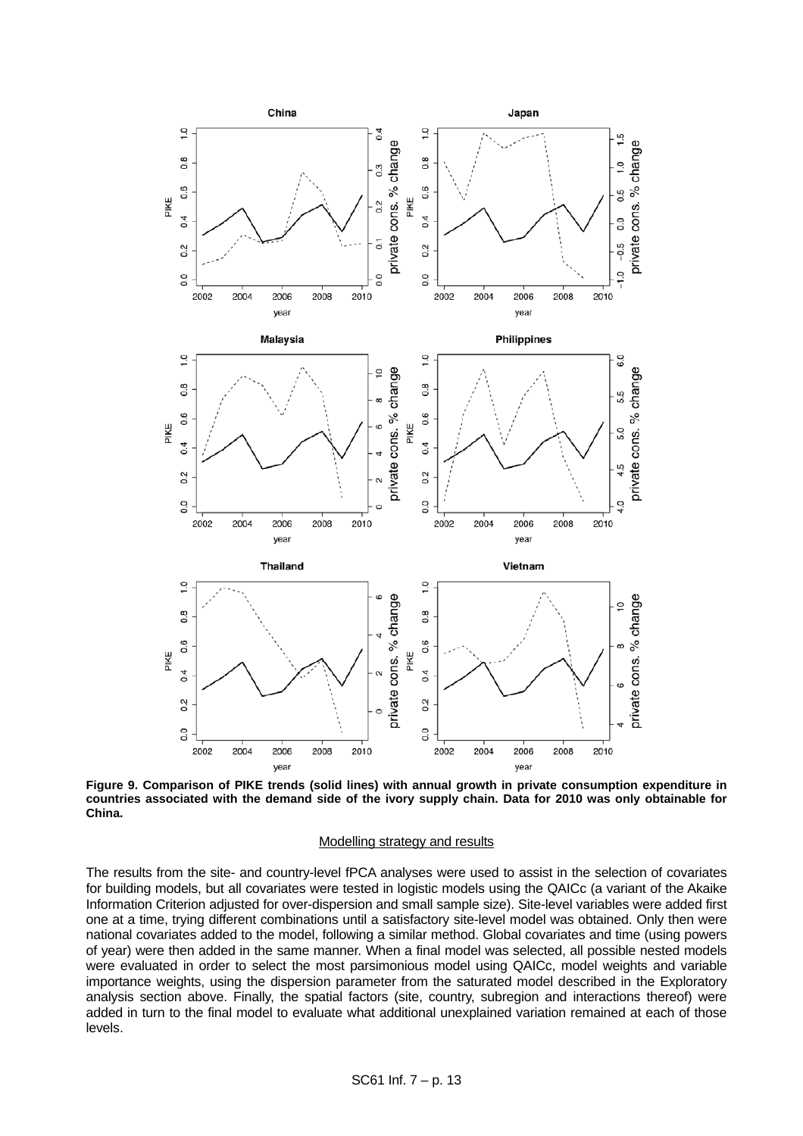

<span id="page-12-0"></span>**Figure 9. Comparison of PIKE trends (solid lines) with annual growth in private consumption expenditure in countries associated with the demand side of the ivory supply chain. Data for 2010 was only obtainable for China.** 

#### Modelling strategy and results

The results from the site- and country-level fPCA analyses were used to assist in the selection of covariates for building models, but all covariates were tested in logistic models using the QAICc (a variant of the Akaike Information Criterion adjusted for over-dispersion and small sample size). Site-level variables were added first one at a time, trying different combinations until a satisfactory site-level model was obtained. Only then were national covariates added to the model, following a similar method. Global covariates and time (using powers of year) were then added in the same manner. When a final model was selected, all possible nested models were evaluated in order to select the most parsimonious model using QAICc, model weights and variable importance weights, using the dispersion parameter from the saturated model described in the Exploratory analysis section above. Finally, the spatial factors (site, country, subregion and interactions thereof) were added in turn to the final model to evaluate what additional unexplained variation remained at each of those levels.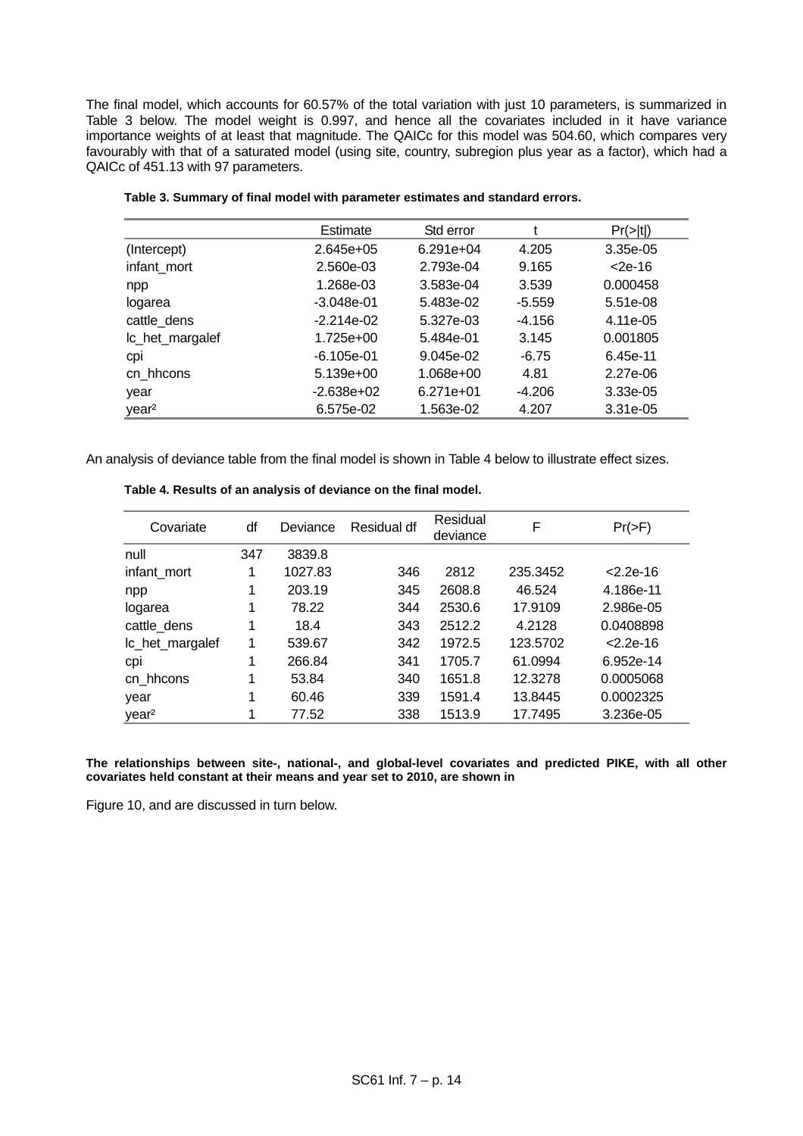The final model, which accounts for 60.57% of the total variation with just 10 parameters, is summarized in [Table 3](#page-13-0) below. The model weight is 0.997, and hence all the covariates included in it have variance importance weights of at least that magnitude. The QAICc for this model was 504.60, which compares very favourably with that of a saturated model (using site, country, subregion plus year as a factor), which had a QAICc of 451.13 with 97 parameters.

<span id="page-13-0"></span>

|                   | Estimate     | Std error   |          | Pr(> t )  |
|-------------------|--------------|-------------|----------|-----------|
| (Intercept)       | $2.645e+05$  | $6.291e+04$ | 4.205    | 3.35e-05  |
| infant mort       | 2.560e-03    | 2.793e-04   | 9.165    | $<$ 2e-16 |
| npp               | 1.268e-03    | 3.583e-04   | 3.539    | 0.000458  |
| logarea           | $-3.048e-01$ | 5.483e-02   | $-5.559$ | 5.51e-08  |
| cattle_dens       | $-2.214e-02$ | 5.327e-03   | $-4.156$ | 4.11e-05  |
| Ic_het_margalef   | 1.725e+00    | 5.484e-01   | 3.145    | 0.001805  |
| CDI               | $-6.105e-01$ | 9.045e-02   | $-6.75$  | 6.45e-11  |
| cn hhcons         | $5.139e+00$  | 1.068e+00   | 4.81     | 2.27e-06  |
| year              | $-2.638e+02$ | $6.271e+01$ | $-4.206$ | 3.33e-05  |
| year <sup>2</sup> | 6.575e-02    | 1.563e-02   | 4.207    | 3.31e-05  |

|  |  |  |  |  | Table 3. Summary of final model with parameter estimates and standard errors. |
|--|--|--|--|--|-------------------------------------------------------------------------------|
|--|--|--|--|--|-------------------------------------------------------------------------------|

<span id="page-13-1"></span>An analysis of deviance table from the final model is shown in [Table 4](#page-13-1) below to illustrate effect sizes.

| Covariate         | df  | Deviance | Residual df | Residual<br>deviance | F        | $Pr(>=F)$     |
|-------------------|-----|----------|-------------|----------------------|----------|---------------|
| null              | 347 | 3839.8   |             |                      |          |               |
| infant_mort       | 1   | 1027.83  | 346         | 2812                 | 235.3452 | $< 2.2e - 16$ |
| npp               |     | 203.19   | 345         | 2608.8               | 46.524   | 4.186e-11     |
| logarea           |     | 78.22    | 344         | 2530.6               | 17.9109  | 2.986e-05     |
| cattle_dens       | 1   | 18.4     | 343         | 2512.2               | 4.2128   | 0.0408898     |
| Ic_het_margalef   | 1   | 539.67   | 342         | 1972.5               | 123.5702 | $< 2.2e - 16$ |
| cpi               |     | 266.84   | 341         | 1705.7               | 61.0994  | 6.952e-14     |
| cn hhcons         | 1   | 53.84    | 340         | 1651.8               | 12.3278  | 0.0005068     |
| year              | 1   | 60.46    | 339         | 1591.4               | 13.8445  | 0.0002325     |
| year <sup>2</sup> | 4   | 77.52    | 338         | 1513.9               | 17.7495  | 3.236e-05     |

**Table 4. Results of an analysis of deviance on the final model.** 

**The relationships between site-, national-, and global-level covariates and predicted PIKE, with all other covariates held constant at their means and year set to 2010, are shown in** 

Figure 10, and are discussed in turn below.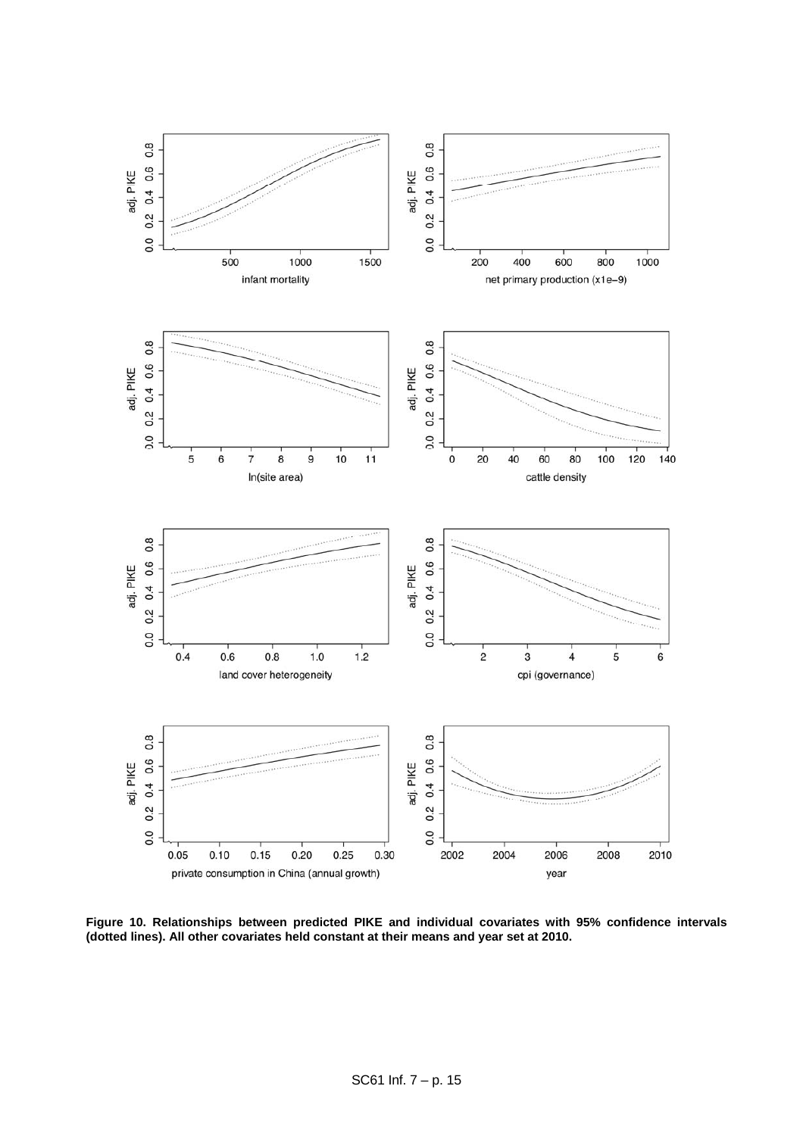

**Figure 10. Relationships between predicted PIKE and individual covariates with 95% confidence intervals (dotted lines). All other covariates held constant at their means and year set at 2010.**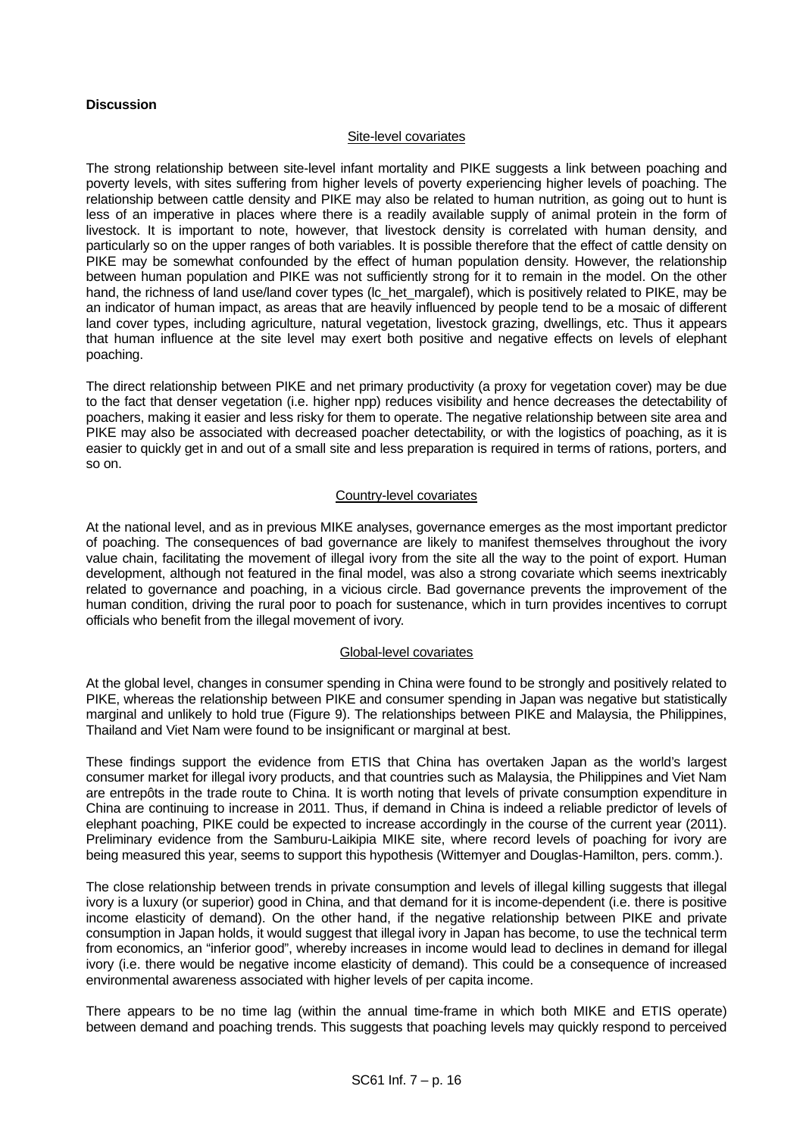# **Discussion**

#### Site-level covariates

The strong relationship between site-level infant mortality and PIKE suggests a link between poaching and poverty levels, with sites suffering from higher levels of poverty experiencing higher levels of poaching. The relationship between cattle density and PIKE may also be related to human nutrition, as going out to hunt is less of an imperative in places where there is a readily available supply of animal protein in the form of livestock. It is important to note, however, that livestock density is correlated with human density, and particularly so on the upper ranges of both variables. It is possible therefore that the effect of cattle density on PIKE may be somewhat confounded by the effect of human population density. However, the relationship between human population and PIKE was not sufficiently strong for it to remain in the model. On the other hand, the richness of land use/land cover types (Ic het margalef), which is positively related to PIKE, may be an indicator of human impact, as areas that are heavily influenced by people tend to be a mosaic of different land cover types, including agriculture, natural vegetation, livestock grazing, dwellings, etc. Thus it appears that human influence at the site level may exert both positive and negative effects on levels of elephant poaching.

The direct relationship between PIKE and net primary productivity (a proxy for vegetation cover) may be due to the fact that denser vegetation (i.e. higher npp) reduces visibility and hence decreases the detectability of poachers, making it easier and less risky for them to operate. The negative relationship between site area and PIKE may also be associated with decreased poacher detectability, or with the logistics of poaching, as it is easier to quickly get in and out of a small site and less preparation is required in terms of rations, porters, and so on.

## Country-level covariates

At the national level, and as in previous MIKE analyses, governance emerges as the most important predictor of poaching. The consequences of bad governance are likely to manifest themselves throughout the ivory value chain, facilitating the movement of illegal ivory from the site all the way to the point of export. Human development, although not featured in the final model, was also a strong covariate which seems inextricably related to governance and poaching, in a vicious circle. Bad governance prevents the improvement of the human condition, driving the rural poor to poach for sustenance, which in turn provides incentives to corrupt officials who benefit from the illegal movement of ivory.

# Global-level covariates

At the global level, changes in consumer spending in China were found to be strongly and positively related to PIKE, whereas the relationship between PIKE and consumer spending in Japan was negative but statistically marginal and unlikely to hold true [\(Figure 9\)](#page-12-0). The relationships between PIKE and Malaysia, the Philippines, Thailand and Viet Nam were found to be insignificant or marginal at best.

These findings support the evidence from ETIS that China has overtaken Japan as the world's largest consumer market for illegal ivory products, and that countries such as Malaysia, the Philippines and Viet Nam are entrepôts in the trade route to China. It is worth noting that levels of private consumption expenditure in China are continuing to increase in 2011. Thus, if demand in China is indeed a reliable predictor of levels of elephant poaching, PIKE could be expected to increase accordingly in the course of the current year (2011). Preliminary evidence from the Samburu-Laikipia MIKE site, where record levels of poaching for ivory are being measured this year, seems to support this hypothesis (Wittemyer and Douglas-Hamilton, pers. comm.).

The close relationship between trends in private consumption and levels of illegal killing suggests that illegal ivory is a luxury (or superior) good in China, and that demand for it is income-dependent (i.e. there is positive income elasticity of demand). On the other hand, if the negative relationship between PIKE and private consumption in Japan holds, it would suggest that illegal ivory in Japan has become, to use the technical term from economics, an "inferior good", whereby increases in income would lead to declines in demand for illegal ivory (i.e. there would be negative income elasticity of demand). This could be a consequence of increased environmental awareness associated with higher levels of per capita income.

There appears to be no time lag (within the annual time-frame in which both MIKE and ETIS operate) between demand and poaching trends. This suggests that poaching levels may quickly respond to perceived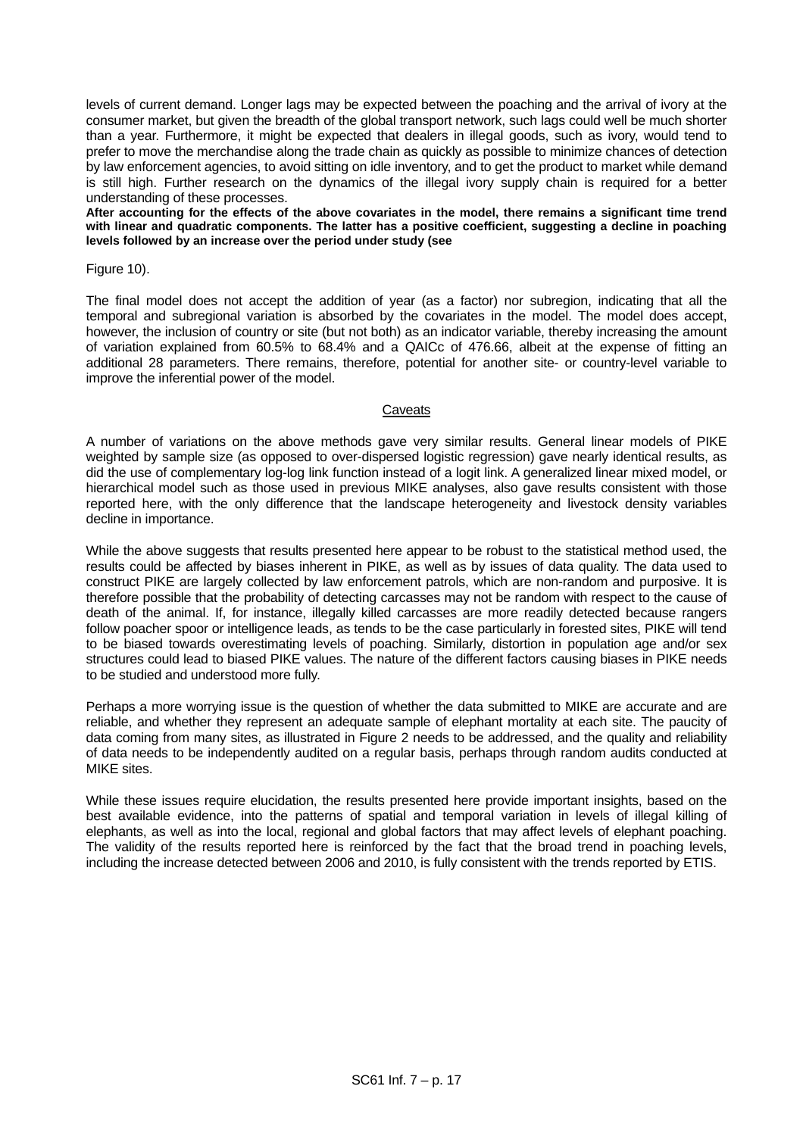levels of current demand. Longer lags may be expected between the poaching and the arrival of ivory at the consumer market, but given the breadth of the global transport network, such lags could well be much shorter than a year. Furthermore, it might be expected that dealers in illegal goods, such as ivory, would tend to prefer to move the merchandise along the trade chain as quickly as possible to minimize chances of detection by law enforcement agencies, to avoid sitting on idle inventory, and to get the product to market while demand is still high. Further research on the dynamics of the illegal ivory supply chain is required for a better understanding of these processes.

**After accounting for the effects of the above covariates in the model, there remains a significant time trend with linear and quadratic components. The latter has a positive coefficient, suggesting a decline in poaching levels followed by an increase over the period under study (see** 

Figure 10).

The final model does not accept the addition of year (as a factor) nor subregion, indicating that all the temporal and subregional variation is absorbed by the covariates in the model. The model does accept, however, the inclusion of country or site (but not both) as an indicator variable, thereby increasing the amount of variation explained from 60.5% to 68.4% and a QAICc of 476.66, albeit at the expense of fitting an additional 28 parameters. There remains, therefore, potential for another site- or country-level variable to improve the inferential power of the model.

#### **Caveats**

A number of variations on the above methods gave very similar results. General linear models of PIKE weighted by sample size (as opposed to over-dispersed logistic regression) gave nearly identical results, as did the use of complementary log-log link function instead of a logit link. A generalized linear mixed model, or hierarchical model such as those used in previous MIKE analyses, also gave results consistent with those reported here, with the only difference that the landscape heterogeneity and livestock density variables decline in importance.

While the above suggests that results presented here appear to be robust to the statistical method used, the results could be affected by biases inherent in PIKE, as well as by issues of data quality. The data used to construct PIKE are largely collected by law enforcement patrols, which are non-random and purposive. It is therefore possible that the probability of detecting carcasses may not be random with respect to the cause of death of the animal. If, for instance, illegally killed carcasses are more readily detected because rangers follow poacher spoor or intelligence leads, as tends to be the case particularly in forested sites, PIKE will tend to be biased towards overestimating levels of poaching. Similarly, distortion in population age and/or sex structures could lead to biased PIKE values. The nature of the different factors causing biases in PIKE needs to be studied and understood more fully.

Perhaps a more worrying issue is the question of whether the data submitted to MIKE are accurate and are reliable, and whether they represent an adequate sample of elephant mortality at each site. The paucity of data coming from many sites, as illustrated in [Figure 2](#page-4-0) needs to be addressed, and the quality and reliability of data needs to be independently audited on a regular basis, perhaps through random audits conducted at MIKE sites.

While these issues require elucidation, the results presented here provide important insights, based on the best available evidence, into the patterns of spatial and temporal variation in levels of illegal killing of elephants, as well as into the local, regional and global factors that may affect levels of elephant poaching. The validity of the results reported here is reinforced by the fact that the broad trend in poaching levels, including the increase detected between 2006 and 2010, is fully consistent with the trends reported by ETIS.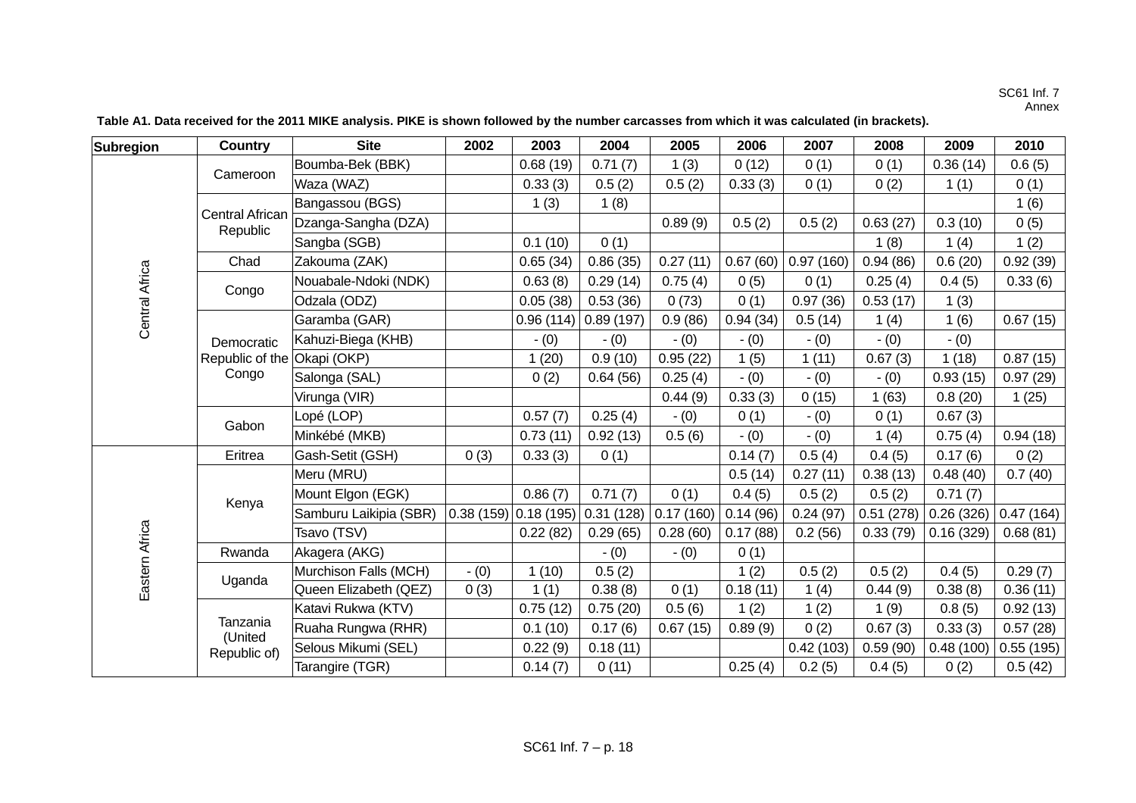#### SC61 Inf. 7 Annex

| Subregion             | <b>Country</b>                     | <b>Site</b>            | 2002    | 2003                   | 2004      | 2005      | 2006     | 2007      | 2008      | 2009      | 2010      |
|-----------------------|------------------------------------|------------------------|---------|------------------------|-----------|-----------|----------|-----------|-----------|-----------|-----------|
|                       | Cameroon                           | Boumba-Bek (BBK)       |         | 0.68(19)               | 0.71(7)   | 1(3)      | 0(12)    | 0(1)      | 0(1)      | 0.36(14)  | 0.6(5)    |
|                       |                                    | Waza (WAZ)             |         | 0.33(3)                | 0.5(2)    | 0.5(2)    | 0.33(3)  | 0(1)      | 0(2)      | 1(1)      | 0(1)      |
|                       |                                    | Bangassou (BGS)        |         | 1(3)                   | 1(8)      |           |          |           |           |           | 1(6)      |
|                       | <b>Central African</b><br>Republic | Dzanga-Sangha (DZA)    |         |                        |           | 0.89(9)   | 0.5(2)   | 0.5(2)    | 0.63(27)  | 0.3(10)   | 0(5)      |
|                       |                                    | Sangba (SGB)           |         | 0.1(10)                | 0(1)      |           |          |           | 1(8)      | 1(4)      | 1(2)      |
|                       | Chad                               | Zakouma (ZAK)          |         | 0.65(34)               | 0.86(35)  | 0.27(11)  | 0.67(60) | 0.97(160) | 0.94(86)  | 0.6(20)   | 0.92(39)  |
|                       |                                    | Nouabale-Ndoki (NDK)   |         | 0.63(8)                | 0.29(14)  | 0.75(4)   | 0(5)     | 0(1)      | 0.25(4)   | 0.4(5)    | 0.33(6)   |
| <b>Central Africa</b> | Congo                              | Odzala (ODZ)           |         | 0.05(38)               | 0.53(36)  | 0(73)     | 0(1)     | 0.97(36)  | 0.53(17)  | 1(3)      |           |
|                       |                                    | Garamba (GAR)          |         | 0.96(114)              | 0.89(197) | 0.9(86)   | 0.94(34) | 0.5(14)   | 1(4)      | 1(6)      | 0.67(15)  |
|                       | Democratic                         | Kahuzi-Biega (KHB)     |         | $- (0)$                | $- (0)$   | $- (0)$   | $- (0)$  | $- (0)$   | $- (0)$   | $- (0)$   |           |
|                       | Republic of the                    | Okapi (OKP)            |         | 1(20)                  | 0.9(10)   | 0.95(22)  | 1(5)     | 1(11)     | 0.67(3)   | 1(18)     | 0.87(15)  |
|                       | Congo                              | Salonga (SAL)          |         | 0(2)                   | 0.64(56)  | 0.25(4)   | $- (0)$  | $- (0)$   | - (0)     | 0.93(15)  | 0.97(29)  |
|                       |                                    | Virunga (VIR)          |         |                        |           | 0.44(9)   | 0.33(3)  | 0(15)     | 1(63)     | 0.8(20)   | 1(25)     |
|                       |                                    | Lopé (LOP)             |         | 0.57(7)                | 0.25(4)   | $- (0)$   | 0(1)     | $- (0)$   | 0(1)      | 0.67(3)   |           |
|                       | Gabon                              | Minkébé (MKB)          |         | 0.73(11)               | 0.92(13)  | 0.5(6)    | $- (0)$  | $- (0)$   | 1(4)      | 0.75(4)   | 0.94(18)  |
|                       | Eritrea                            | Gash-Setit (GSH)       | 0(3)    | 0.33(3)                | 0(1)      |           | 0.14(7)  | 0.5(4)    | 0.4(5)    | 0.17(6)   | 0(2)      |
|                       |                                    | Meru (MRU)             |         |                        |           |           | 0.5(14)  | 0.27(11)  | 0.38(13)  | 0.48(40)  | 0.7(40)   |
|                       |                                    | Mount Elgon (EGK)      |         | 0.86(7)                | 0.71(7)   | 0(1)      | 0.4(5)   | 0.5(2)    | 0.5(2)    | 0.71(7)   |           |
|                       | Kenya                              | Samburu Laikipia (SBR) |         | $0.38(159)$ 0.18 (195) | 0.31(128) | 0.17(160) | 0.14(96) | 0.24(97)  | 0.51(278) | 0.26(326) | 0.47(164) |
| Eastern Africa        |                                    | Tsavo (TSV)            |         | 0.22(82)               | 0.29(65)  | 0.28(60)  | 0.17(88) | 0.2(56)   | 0.33(79)  | 0.16(329) | 0.68(81)  |
|                       | Rwanda                             | Akagera (AKG)          |         |                        | $- (0)$   | - (0)     | 0(1)     |           |           |           |           |
|                       | Uganda                             | Murchison Falls (MCH)  | $- (0)$ | 1(10)                  | 0.5(2)    |           | 1(2)     | 0.5(2)    | 0.5(2)    | 0.4(5)    | 0.29(7)   |
|                       |                                    | Queen Elizabeth (QEZ)  | 0(3)    | 1(1)                   | 0.38(8)   | 0(1)      | 0.18(11) | 1(4)      | 0.44(9)   | 0.38(8)   | 0.36(11)  |
|                       |                                    | Katavi Rukwa (KTV)     |         | 0.75(12)               | 0.75(20)  | 0.5(6)    | 1(2)     | 1(2)      | 1(9)      | 0.8(5)    | 0.92(13)  |
|                       | Tanzania<br>(United                | Ruaha Rungwa (RHR)     |         | 0.1(10)                | 0.17(6)   | 0.67(15)  | 0.89(9)  | 0(2)      | 0.67(3)   | 0.33(3)   | 0.57(28)  |
|                       | Republic of)                       | Selous Mikumi (SEL)    |         | 0.22(9)                | 0.18(11)  |           |          | 0.42(103) | 0.59(90)  | 0.48(100) | 0.55(195) |
|                       |                                    | Tarangire (TGR)        |         | 0.14(7)                | 0(11)     |           | 0.25(4)  | 0.2(5)    | 0.4(5)    | 0(2)      | 0.5(42)   |

**Table A1. Data received for the 2011 MIKE analysis. PIKE is shown followed by the number carcasses from which it was calculated (in brackets).**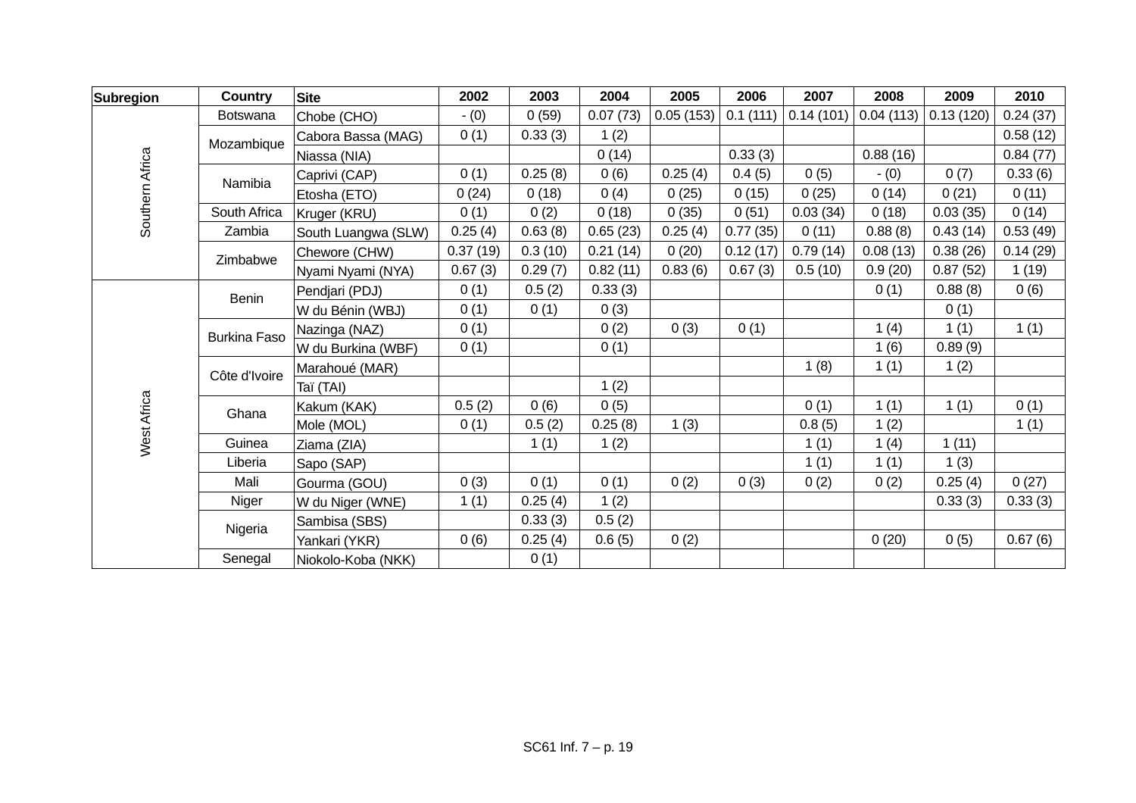| Subregion       | <b>Country</b>      | <b>Site</b>         | 2002     | 2003    | 2004     | 2005      | 2006     | 2007      | 2008      | 2009      | 2010     |
|-----------------|---------------------|---------------------|----------|---------|----------|-----------|----------|-----------|-----------|-----------|----------|
|                 | <b>Botswana</b>     | Chobe (CHO)         | $- (0)$  | 0(59)   | 0.07(73) | 0.05(153) | 0.1(111) | 0.14(101) | 0.04(113) | 0.13(120) | 0.24(37) |
| Southern Africa | Mozambique          | Cabora Bassa (MAG)  | 0(1)     | 0.33(3) | 1(2)     |           |          |           |           |           | 0.58(12) |
|                 |                     | Niassa (NIA)        |          |         | 0(14)    |           | 0.33(3)  |           | 0.88(16)  |           | 0.84(77) |
|                 | Namibia             | Caprivi (CAP)       | 0(1)     | 0.25(8) | 0(6)     | 0.25(4)   | 0.4(5)   | 0(5)      | $- (0)$   | 0(7)      | 0.33(6)  |
|                 |                     | Etosha (ETO)        | 0(24)    | 0(18)   | 0(4)     | 0(25)     | 0(15)    | 0(25)     | 0(14)     | 0(21)     | 0(11)    |
|                 | South Africa        | Kruger (KRU)        | 0(1)     | 0(2)    | 0(18)    | 0(35)     | 0(51)    | 0.03(34)  | 0(18)     | 0.03(35)  | 0(14)    |
|                 | Zambia              | South Luangwa (SLW) | 0.25(4)  | 0.63(8) | 0.65(23) | 0.25(4)   | 0.77(35) | 0(11)     | 0.88(8)   | 0.43(14)  | 0.53(49) |
|                 | Zimbabwe            | Chewore (CHW)       | 0.37(19) | 0.3(10) | 0.21(14) | 0(20)     | 0.12(17) | 0.79(14)  | 0.08(13)  | 0.38(26)  | 0.14(29) |
|                 |                     | Nyami Nyami (NYA)   | 0.67(3)  | 0.29(7) | 0.82(11) | 0.83(6)   | 0.67(3)  | 0.5(10)   | 0.9(20)   | 0.87(52)  | 1(19)    |
|                 | <b>Benin</b>        | Pendjari (PDJ)      | 0(1)     | 0.5(2)  | 0.33(3)  |           |          |           | 0(1)      | 0.88(8)   | 0(6)     |
|                 |                     | W du Bénin (WBJ)    | 0(1)     | 0(1)    | 0(3)     |           |          |           |           | 0(1)      |          |
|                 | <b>Burkina Faso</b> | Nazinga (NAZ)       | 0(1)     |         | 0(2)     | 0(3)      | 0(1)     |           | 1(4)      | 1(1)      | 1(1)     |
|                 |                     | W du Burkina (WBF)  | 0(1)     |         | 0(1)     |           |          |           | 1(6)      | 0.89(9)   |          |
|                 | Côte d'Ivoire       | Marahoué (MAR)      |          |         |          |           |          | 1(8)      | 1(1)      | 1(2)      |          |
|                 |                     | Taï (TAI)           |          |         | 1(2)     |           |          |           |           |           |          |
| West Africa     | Ghana               | Kakum (KAK)         | 0.5(2)   | 0(6)    | 0(5)     |           |          | 0(1)      | 1(1)      | 1(1)      | 0(1)     |
|                 |                     | Mole (MOL)          | 0(1)     | 0.5(2)  | 0.25(8)  | 1(3)      |          | 0.8(5)    | 1(2)      |           | 1(1)     |
|                 | Guinea              | Ziama (ZIA)         |          | 1(1)    | 1(2)     |           |          | 1(1)      | 1(4)      | 1(11)     |          |
|                 | Liberia             | Sapo (SAP)          |          |         |          |           |          | 1(1)      | 1(1)      | 1(3)      |          |
|                 | Mali                | Gourma (GOU)        | 0(3)     | 0(1)    | 0(1)     | 0(2)      | 0(3)     | 0(2)      | 0(2)      | 0.25(4)   | 0(27)    |
|                 | Niger               | W du Niger (WNE)    | 1(1)     | 0.25(4) | 1(2)     |           |          |           |           | 0.33(3)   | 0.33(3)  |
|                 | Nigeria             | Sambisa (SBS)       |          | 0.33(3) | 0.5(2)   |           |          |           |           |           |          |
|                 |                     | Yankari (YKR)       | 0(6)     | 0.25(4) | 0.6(5)   | 0(2)      |          |           | 0(20)     | 0(5)      | 0.67(6)  |
|                 | Senegal             | Niokolo-Koba (NKK)  |          | 0(1)    |          |           |          |           |           |           |          |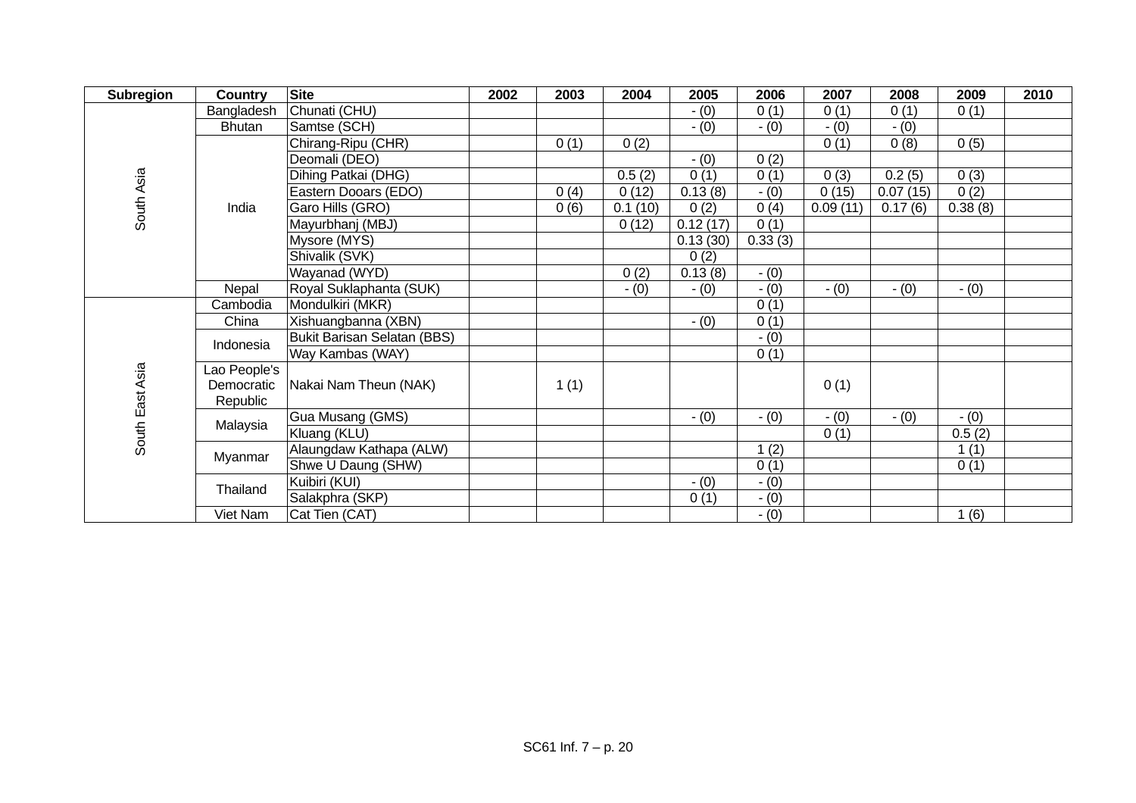| <b>Subregion</b> | <b>Country</b> | <b>Site</b>                 | 2002 | 2003 | 2004    | 2005     | 2006    | 2007     | 2008     | 2009    | 2010 |
|------------------|----------------|-----------------------------|------|------|---------|----------|---------|----------|----------|---------|------|
|                  | Bangladesh     | Chunati (CHU)               |      |      |         | $- (0)$  | 0(1)    | 0(1)     | 0(1)     | 0(1)    |      |
|                  | <b>Bhutan</b>  | Samtse (SCH)                |      |      |         | $- (0)$  | $- (0)$ | $- (0)$  | $- (0)$  |         |      |
| South Asia       |                | Chirang-Ripu (CHR)          |      | 0(1) | 0(2)    |          |         | 0(1)     | 0(8)     | 0(5)    |      |
|                  |                | Deomali (DEO)               |      |      |         | $- (0)$  | 0(2)    |          |          |         |      |
|                  |                | Dihing Patkai (DHG)         |      |      | 0.5(2)  | 0(1)     | 0(1)    | 0(3)     | 0.2(5)   | 0(3)    |      |
|                  |                | Eastern Dooars (EDO)        |      | 0(4) | 0(12)   | 0.13(8)  | $- (0)$ | 0(15)    | 0.07(15) | 0(2)    |      |
|                  | India          | Garo Hills (GRO)            |      | 0(6) | 0.1(10) | 0(2)     | 0(4)    | 0.09(11) | 0.17(6)  | 0.38(8) |      |
|                  |                | Mayurbhanj (MBJ)            |      |      | 0(12)   | 0.12(17) | 0(1)    |          |          |         |      |
|                  |                | Mysore (MYS)                |      |      |         | 0.13(30) | 0.33(3) |          |          |         |      |
|                  |                | Shivalik (SVK)              |      |      |         | 0(2)     |         |          |          |         |      |
|                  |                | Wayanad (WYD)               |      |      | 0(2)    | 0.13(8)  | $- (0)$ |          |          |         |      |
|                  | Nepal          | Royal Suklaphanta (SUK)     |      |      | $- (0)$ | $- (0)$  | $- (0)$ | $- (0)$  | $- (0)$  | $- (0)$ |      |
|                  | Cambodia       | Mondulkiri (MKR)            |      |      |         |          | 0(1)    |          |          |         |      |
|                  | China          | Xishuangbanna (XBN)         |      |      |         | $- (0)$  | 0(1)    |          |          |         |      |
|                  | Indonesia      | Bukit Barisan Selatan (BBS) |      |      |         |          | $- (0)$ |          |          |         |      |
|                  |                | Way Kambas (WAY)            |      |      |         |          | 0(1)    |          |          |         |      |
|                  | Lao People's   |                             |      |      |         |          |         |          |          |         |      |
|                  | Democratic     | Nakai Nam Theun (NAK)       |      | 1(1) |         |          |         | 0(1)     |          |         |      |
|                  | Republic       |                             |      |      |         |          |         |          |          |         |      |
| South East Asia  | Malaysia       | Gua Musang (GMS)            |      |      |         | $- (0)$  | $- (0)$ | $- (0)$  | $- (0)$  | $- (0)$ |      |
|                  |                | Kluang (KLU)                |      |      |         |          |         | 0(1)     |          | 0.5(2)  |      |
|                  | Myanmar        | Alaungdaw Kathapa (ALW)     |      |      |         |          | 1(2)    |          |          | 1(1)    |      |
|                  |                | Shwe U Daung (SHW)          |      |      |         |          | 0(1)    |          |          | 0(1)    |      |
|                  | Thailand       | Kuibiri (KUI)               |      |      |         | $- (0)$  | $- (0)$ |          |          |         |      |
|                  |                | Salakphra (SKP)             |      |      |         | 0(1)     | $- (0)$ |          |          |         |      |
|                  | Viet Nam       | Cat Tien (CAT)              |      |      |         |          | $- (0)$ |          |          | (6)     |      |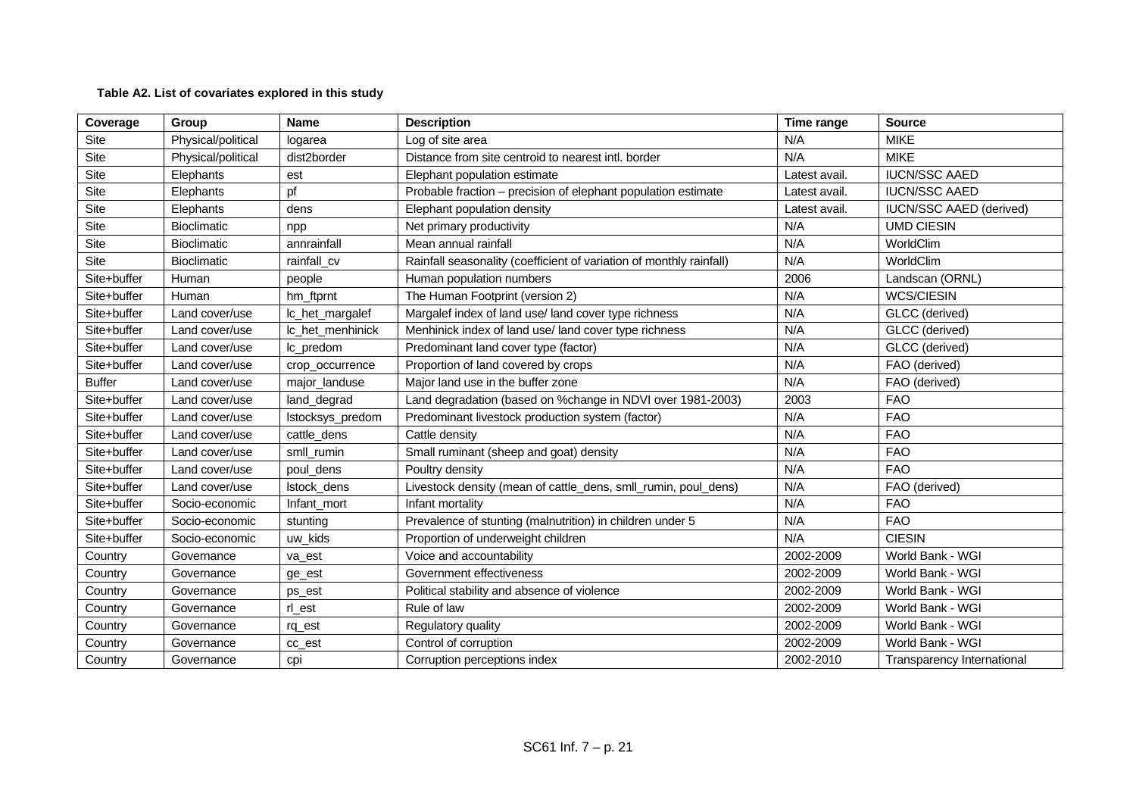# **Table A2. List of covariates explored in this study**

| Coverage      | Group              | <b>Name</b>      | <b>Description</b>                                                  | Time range    | <b>Source</b>                  |
|---------------|--------------------|------------------|---------------------------------------------------------------------|---------------|--------------------------------|
| Site          | Physical/political | logarea          | Log of site area                                                    | N/A           | <b>MIKE</b>                    |
| Site          | Physical/political | dist2border      | Distance from site centroid to nearest intl. border                 | N/A           | <b>MIKE</b>                    |
| <b>Site</b>   | Elephants          | est              | Elephant population estimate                                        | Latest avail. | <b>IUCN/SSC AAED</b>           |
| Site          | Elephants          | pf               | Probable fraction - precision of elephant population estimate       | Latest avail. | <b>IUCN/SSC AAED</b>           |
| Site          | Elephants          | dens             | Elephant population density                                         | Latest avail. | <b>IUCN/SSC AAED (derived)</b> |
| Site          | <b>Bioclimatic</b> | npp              | Net primary productivity                                            | N/A           | <b>UMD CIESIN</b>              |
| <b>Site</b>   | <b>Bioclimatic</b> | annrainfall      | Mean annual rainfall                                                | N/A           | WorldClim                      |
| <b>Site</b>   | <b>Bioclimatic</b> | rainfall_cv      | Rainfall seasonality (coefficient of variation of monthly rainfall) | N/A           | WorldClim                      |
| Site+buffer   | Human              | people           | Human population numbers                                            | 2006          | Landscan (ORNL)                |
| Site+buffer   | Human              | hm_ftprnt        | The Human Footprint (version 2)                                     | N/A           | <b>WCS/CIESIN</b>              |
| Site+buffer   | Land cover/use     | lc_het_margalef  | Margalef index of land use/ land cover type richness                | N/A           | GLCC (derived)                 |
| Site+buffer   | Land cover/use     | Ic het menhinick | Menhinick index of land use/ land cover type richness               | N/A           | GLCC (derived)                 |
| Site+buffer   | Land cover/use     | Ic_predom        | Predominant land cover type (factor)                                | N/A           | GLCC (derived)                 |
| Site+buffer   | Land cover/use     | crop_occurrence  | Proportion of land covered by crops                                 | N/A           | FAO (derived)                  |
| <b>Buffer</b> | Land cover/use     | major landuse    | Major land use in the buffer zone                                   | N/A           | FAO (derived)                  |
| Site+buffer   | Land cover/use     | land_degrad      | Land degradation (based on %change in NDVI over 1981-2003)          | 2003          | <b>FAO</b>                     |
| Site+buffer   | Land cover/use     | Istocksys_predom | Predominant livestock production system (factor)                    | N/A           | <b>FAO</b>                     |
| Site+buffer   | Land cover/use     | cattle_dens      | Cattle density                                                      | N/A           | <b>FAO</b>                     |
| Site+buffer   | Land cover/use     | smll_rumin       | Small ruminant (sheep and goat) density                             | N/A           | <b>FAO</b>                     |
| Site+buffer   | Land cover/use     | poul dens        | Poultry density                                                     | N/A           | <b>FAO</b>                     |
| Site+buffer   | Land cover/use     | Istock_dens      | Livestock density (mean of cattle_dens, smll_rumin, poul_dens)      | N/A           | FAO (derived)                  |
| Site+buffer   | Socio-economic     | Infant_mort      | Infant mortality                                                    | N/A           | <b>FAO</b>                     |
| Site+buffer   | Socio-economic     | stunting         | Prevalence of stunting (malnutrition) in children under 5           | N/A           | <b>FAO</b>                     |
| Site+buffer   | Socio-economic     | uw_kids          | Proportion of underweight children                                  | N/A           | <b>CIESIN</b>                  |
| Country       | Governance         | va est           | Voice and accountability                                            | 2002-2009     | World Bank - WGI               |
| Country       | Governance         | ge_est           | Government effectiveness                                            | 2002-2009     | World Bank - WGI               |
| Country       | Governance         | ps_est           | Political stability and absence of violence                         | 2002-2009     | World Bank - WGI               |
| Country       | Governance         | rl_est           | Rule of law                                                         | 2002-2009     | World Bank - WGI               |
| Country       | Governance         | rq_est           | Regulatory quality                                                  | 2002-2009     | World Bank - WGI               |
| Country       | Governance         | cc_est           | Control of corruption                                               | 2002-2009     | World Bank - WGI               |
| Country       | Governance         | cpi              | Corruption perceptions index                                        | 2002-2010     | Transparency International     |